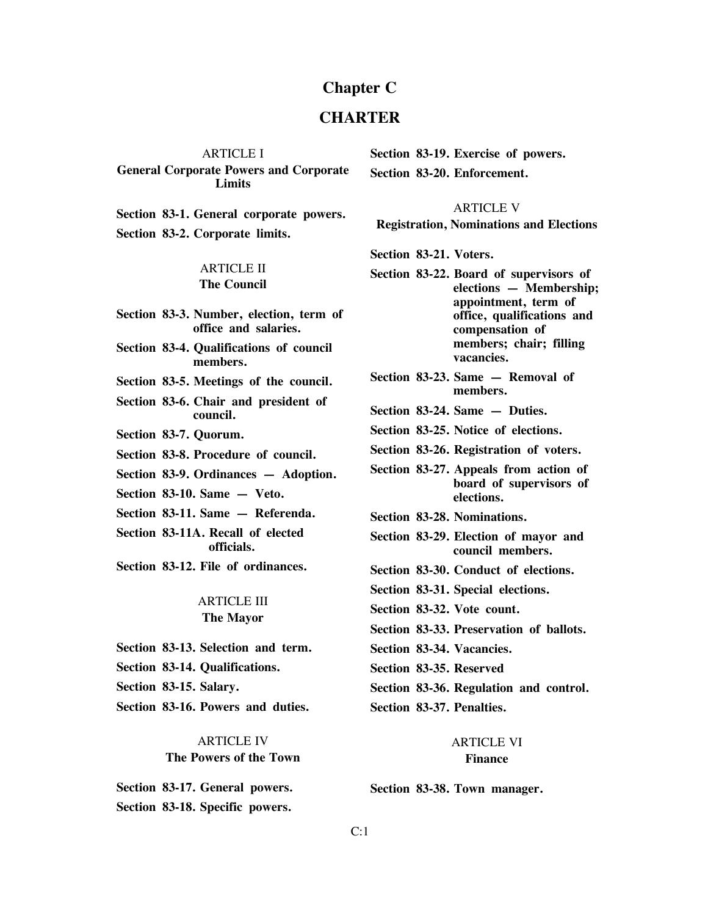# **Chapter C**

# **CHARTER**

#### ARTICLE I

**General Corporate Powers and Corporate Limits**

**Section 83-1. General corporate powers.**

**Section 83-2. Corporate limits.**

# ARTICLE II **The Council**

**Section 83-3. Number, election, term of office and salaries.**

**Section 83-4. Qualifications of council members.**

**Section 83-5. Meetings of the council.**

**Section 83-6. Chair and president of council.**

- **Section 83-7. Quorum.**
- **Section 83-8. Procedure of council.**
- **Section 83-9. Ordinances — Adoption.**

**Section 83-10. Same — Veto.**

- **Section 83-11. Same — Referenda.**
- **Section 83-11A. Recall of elected officials.**

**Section 83-12. File of ordinances.**

# ARTICLE III **The Mayor**

- **Section 83-13. Selection and term.**
- **Section 83-14. Qualifications.**
- **Section 83-15. Salary.**

**Section 83-16. Powers and duties.**

# ARTICLE IV **The Powers of the Town**

**Section 83-17. General powers. Section 83-18. Specific powers.**

**Section 83-19. Exercise of powers.**

**Section 83-20. Enforcement.**

#### ARTICLE V

**Registration, Nominations and Elections**

**Section 83-21. Voters.**

- **Section 83-22. Board of supervisors of elections — Membership; appointment, term of office, qualifications and compensation of members; chair; filling vacancies.**
- **Section 83-23. Same — Removal of members.**
- **Section 83-24. Same — Duties.**
- **Section 83-25. Notice of elections.**
- **Section 83-26. Registration of voters.**

**Section 83-27. Appeals from action of board of supervisors of elections.**

**Section 83-28. Nominations.**

- **Section 83-29. Election of mayor and council members.**
- **Section 83-30. Conduct of elections.**
- **Section 83-31. Special elections.**

**Section 83-32. Vote count.**

- **Section 83-33. Preservation of ballots.**
- **Section 83-34. Vacancies.**

**Section 83-35. Reserved**

**Section 83-36. Regulation and control.**

**Section 83-37. Penalties.**

### ARTICLE VI **Finance**

**Section 83-38. Town manager.**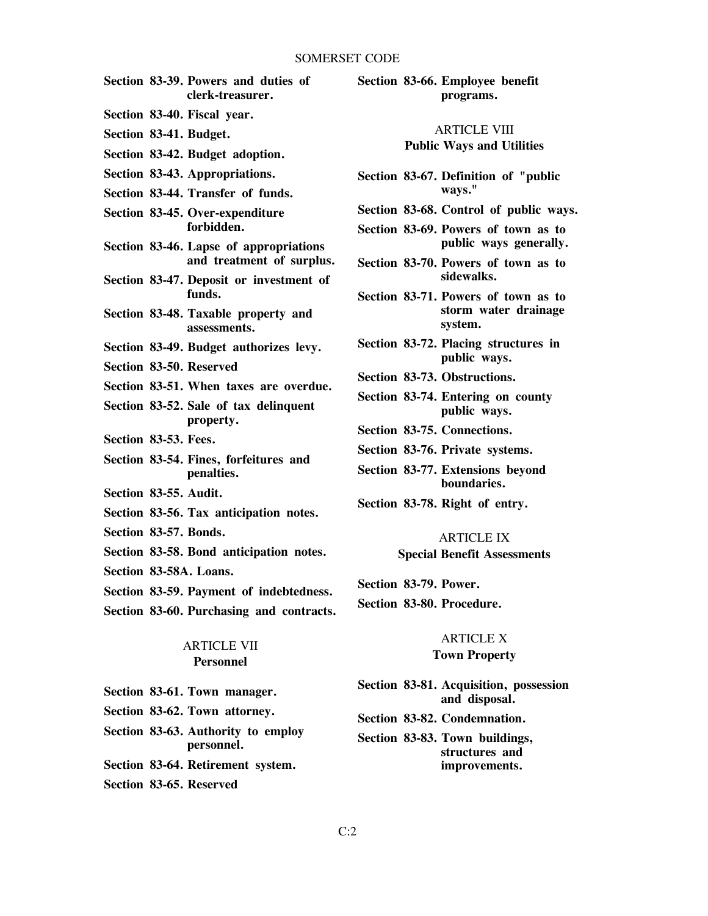- **Section 83-39. Powers and duties of clerk-treasurer.**
- **Section 83-40. Fiscal year.**
- **Section 83-41. Budget.**
- **Section 83-42. Budget adoption.**
- **Section 83-43. Appropriations.**
- **Section 83-44. Transfer of funds.**
- **Section 83-45. Over-expenditure forbidden.**
- **Section 83-46. Lapse of appropriations and treatment of surplus.**
- **Section 83-47. Deposit or investment of funds.**
- **Section 83-48. Taxable property and assessments.**
- **Section 83-49. Budget authorizes levy.**
- **Section 83-50. Reserved**
- **Section 83-51. When taxes are overdue.**
- **Section 83-52. Sale of tax delinquent property.**
- **Section 83-53. Fees.**
- **Section 83-54. Fines, forfeitures and penalties.**
- **Section 83-55. Audit.**
- **Section 83-56. Tax anticipation notes.**
- **Section 83-57. Bonds.**
- **Section 83-58. Bond anticipation notes.**
- **Section 83-58A. Loans.**
- **Section 83-59. Payment of indebtedness.**
- **Section 83-60. Purchasing and contracts.**

# ARTICLE VII **Personnel**

|  |  |  | Section 83-61. Town manager. |
|--|--|--|------------------------------|
|--|--|--|------------------------------|

- **Section 83-62. Town attorney.**
- **Section 83-63. Authority to employ personnel.**
- **Section 83-64. Retirement system.**
- **Section 83-65. Reserved**

# **Section 83-66. Employee benefit programs.**

#### ARTICLE VIII

#### **Public Ways and Utilities**

- **Section 83-67. Definition of "public ways."**
- **Section 83-68. Control of public ways.**
- **Section 83-69. Powers of town as to public ways generally.**
- **Section 83-70. Powers of town as to sidewalks.**
- **Section 83-71. Powers of town as to storm water drainage system.**
- **Section 83-72. Placing structures in public ways.**
- **Section 83-73. Obstructions.**
- **Section 83-74. Entering on county public ways.**
- **Section 83-75. Connections.**
- **Section 83-76. Private systems.**
- **Section 83-77. Extensions beyond boundaries.**
- **Section 83-78. Right of entry.**

# ARTICLE IX **Special Benefit Assessments**

- **Section 83-79. Power.**
- **Section 83-80. Procedure.**

#### **ARTICLE X**

#### **Town Property**

- **Section 83-81. Acquisition, possession and disposal.**
- **Section 83-82. Condemnation.**
- **Section 83-83. Town buildings, structures and improvements.**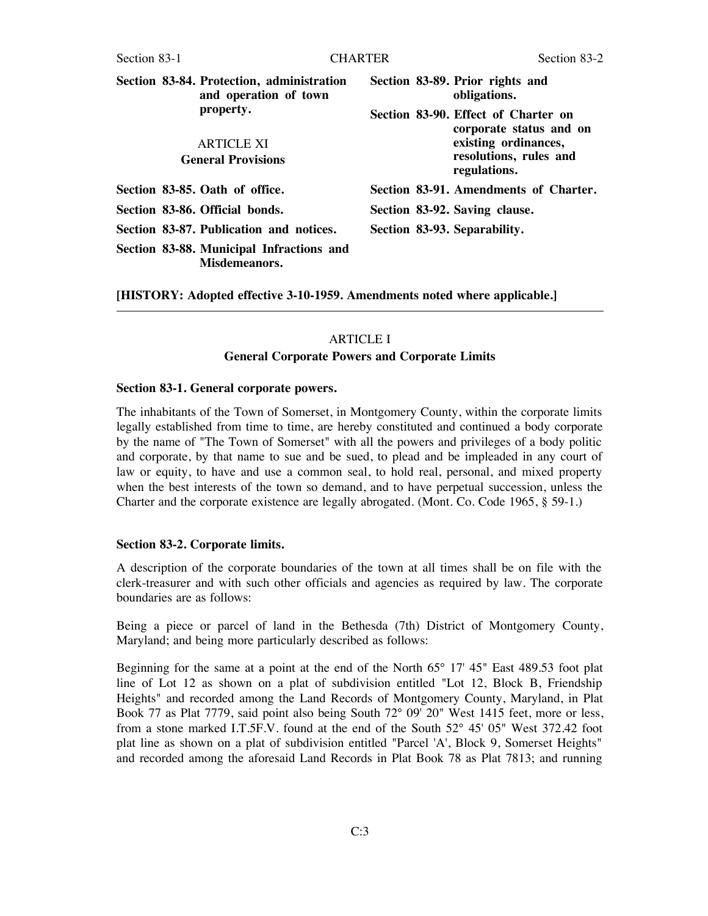|                           | Section 83-84. Protection, administration<br>and operation of town | Section 83-89. Prior rights and<br>obligations. |                                                                |
|---------------------------|--------------------------------------------------------------------|-------------------------------------------------|----------------------------------------------------------------|
|                           | property.                                                          |                                                 | Section 83-90. Effect of Charter on<br>corporate status and on |
|                           | <b>ARTICLE XI</b>                                                  |                                                 | existing ordinances,                                           |
| <b>General Provisions</b> |                                                                    |                                                 | resolutions, rules and<br>regulations.                         |
|                           | Section 83-85. Oath of office.                                     |                                                 | Section 83-91. Amendments of Charter.                          |
|                           | Section 83-86. Official bonds.                                     |                                                 | Section 83-92. Saving clause.                                  |
|                           | Section 83-87. Publication and notices.                            | Section 83-93. Separability.                    |                                                                |
|                           | Section 83-88. Municipal Infractions and<br>Misdemeanors.          |                                                 |                                                                |

**[HISTORY: Adopted effective 3-10-1959. Amendments noted where applicable.]**

# ARTICLE I

# **General Corporate Powers and Corporate Limits**

#### **Section 83-1. General corporate powers.**

The inhabitants of the Town of Somerset, in Montgomery County, within the corporate limits legally established from time to time, are hereby constituted and continued a body corporate by the name of "The Town of Somerset" with all the powers and privileges of a body politic and corporate, by that name to sue and be sued, to plead and be impleaded in any court of law or equity, to have and use a common seal, to hold real, personal, and mixed property when the best interests of the town so demand, and to have perpetual succession, unless the Charter and the corporate existence are legally abrogated. (Mont. Co. Code 1965, § 59-1.)

#### **Section 83-2. Corporate limits.**

A description of the corporate boundaries of the town at all times shall be on file with the clerk-treasurer and with such other officials and agencies as required by law. The corporate boundaries are as follows:

Being a piece or parcel of land in the Bethesda (7th) District of Montgomery County, Maryland; and being more particularly described as follows:

Beginning for the same at a point at the end of the North 65° 17' 45" East 489.53 foot plat line of Lot 12 as shown on a plat of subdivision entitled "Lot 12, Block B, Friendship Heights" and recorded among the Land Records of Montgomery County, Maryland, in Plat Book 77 as Plat 7779, said point also being South 72° 09' 20" West 1415 feet, more or less, from a stone marked I.T.5F.V. found at the end of the South 52° 45' 05" West 372.42 foot plat line as shown on a plat of subdivision entitled "Parcel 'A', Block 9, Somerset Heights" and recorded among the aforesaid Land Records in Plat Book 78 as Plat 7813; and running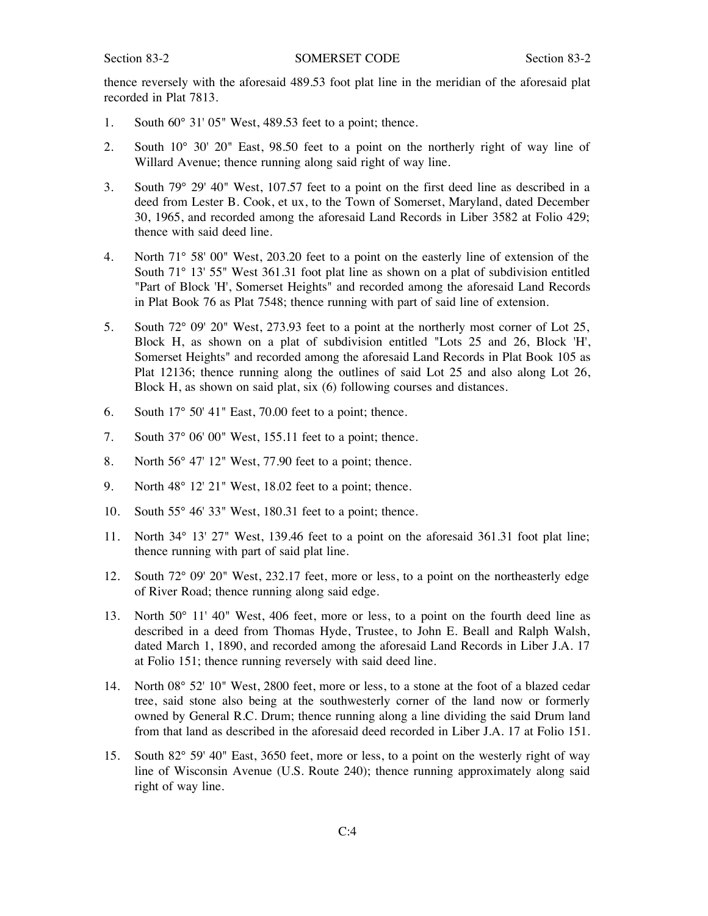thence reversely with the aforesaid 489.53 foot plat line in the meridian of the aforesaid plat recorded in Plat 7813.

- 1. South 60° 31' 05" West, 489.53 feet to a point; thence.
- 2. South 10° 30' 20" East, 98.50 feet to a point on the northerly right of way line of Willard Avenue; thence running along said right of way line.
- 3. South 79° 29' 40" West, 107.57 feet to a point on the first deed line as described in a deed from Lester B. Cook, et ux, to the Town of Somerset, Maryland, dated December 30, 1965, and recorded among the aforesaid Land Records in Liber 3582 at Folio 429; thence with said deed line.
- 4. North 71° 58' 00" West, 203.20 feet to a point on the easterly line of extension of the South 71° 13' 55" West 361.31 foot plat line as shown on a plat of subdivision entitled "Part of Block 'H', Somerset Heights" and recorded among the aforesaid Land Records in Plat Book 76 as Plat 7548; thence running with part of said line of extension.
- 5. South 72° 09' 20" West, 273.93 feet to a point at the northerly most corner of Lot 25, Block H, as shown on a plat of subdivision entitled "Lots 25 and 26, Block 'H', Somerset Heights" and recorded among the aforesaid Land Records in Plat Book 105 as Plat 12136; thence running along the outlines of said Lot 25 and also along Lot 26, Block H, as shown on said plat, six (6) following courses and distances.
- 6. South 17° 50' 41" East, 70.00 feet to a point; thence.
- 7. South 37° 06' 00" West, 155.11 feet to a point; thence.
- 8. North 56° 47' 12" West, 77.90 feet to a point; thence.
- 9. North 48° 12' 21" West, 18.02 feet to a point; thence.
- 10. South 55° 46' 33" West, 180.31 feet to a point; thence.
- 11. North 34° 13' 27" West, 139.46 feet to a point on the aforesaid 361.31 foot plat line; thence running with part of said plat line.
- 12. South 72° 09' 20" West, 232.17 feet, more or less, to a point on the northeasterly edge of River Road; thence running along said edge.
- 13. North 50° 11' 40" West, 406 feet, more or less, to a point on the fourth deed line as described in a deed from Thomas Hyde, Trustee, to John E. Beall and Ralph Walsh, dated March 1, 1890, and recorded among the aforesaid Land Records in Liber J.A. 17 at Folio 151; thence running reversely with said deed line.
- 14. North 08° 52' 10" West, 2800 feet, more or less, to a stone at the foot of a blazed cedar tree, said stone also being at the southwesterly corner of the land now or formerly owned by General R.C. Drum; thence running along a line dividing the said Drum land from that land as described in the aforesaid deed recorded in Liber J.A. 17 at Folio 151.
- 15. South 82° 59' 40" East, 3650 feet, more or less, to a point on the westerly right of way line of Wisconsin Avenue (U.S. Route 240); thence running approximately along said right of way line.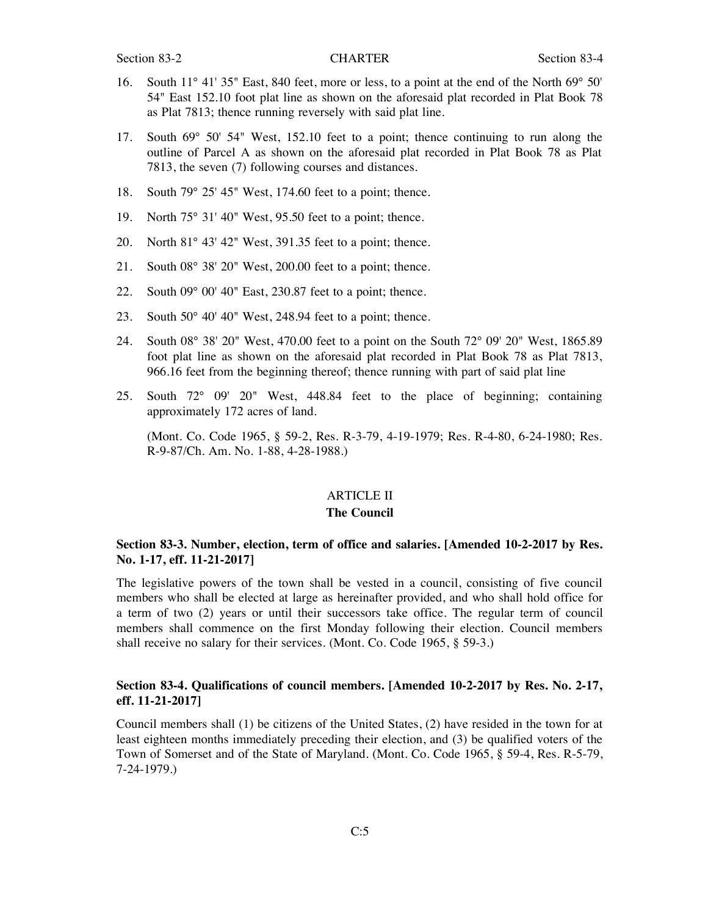- 16. South 11° 41' 35" East, 840 feet, more or less, to a point at the end of the North 69° 50' 54" East 152.10 foot plat line as shown on the aforesaid plat recorded in Plat Book 78 as Plat 7813; thence running reversely with said plat line.
- 17. South 69° 50' 54" West, 152.10 feet to a point; thence continuing to run along the outline of Parcel A as shown on the aforesaid plat recorded in Plat Book 78 as Plat 7813, the seven (7) following courses and distances.
- 18. South 79° 25' 45" West, 174.60 feet to a point; thence.
- 19. North 75° 31' 40" West, 95.50 feet to a point; thence.
- 20. North 81° 43' 42" West, 391.35 feet to a point; thence.
- 21. South 08° 38' 20" West, 200.00 feet to a point; thence.
- 22. South 09° 00' 40" East, 230.87 feet to a point; thence.
- 23. South 50° 40' 40" West, 248.94 feet to a point; thence.
- 24. South 08° 38' 20" West, 470.00 feet to a point on the South 72° 09' 20" West, 1865.89 foot plat line as shown on the aforesaid plat recorded in Plat Book 78 as Plat 7813, 966.16 feet from the beginning thereof; thence running with part of said plat line
- 25. South 72° 09' 20" West, 448.84 feet to the place of beginning; containing approximately 172 acres of land.

(Mont. Co. Code 1965, § 59-2, Res. R-3-79, 4-19-1979; Res. R-4-80, 6-24-1980; Res. R-9-87/Ch. Am. No. 1-88, 4-28-1988.)

#### ARTICLE II

#### **The Council**

# **Section 83-3. Number, election, term of office and salaries. [Amended 10-2-2017 by Res. No. 1-17, eff. 11-21-2017]**

The legislative powers of the town shall be vested in a council, consisting of five council members who shall be elected at large as hereinafter provided, and who shall hold office for a term of two (2) years or until their successors take office. The regular term of council members shall commence on the first Monday following their election. Council members shall receive no salary for their services. (Mont. Co. Code 1965, § 59-3.)

# **Section 83-4. Qualifications of council members. [Amended 10-2-2017 by Res. No. 2-17, eff. 11-21-2017]**

Council members shall (1) be citizens of the United States, (2) have resided in the town for at least eighteen months immediately preceding their election, and (3) be qualified voters of the Town of Somerset and of the State of Maryland. (Mont. Co. Code 1965, § 59-4, Res. R-5-79, 7-24-1979.)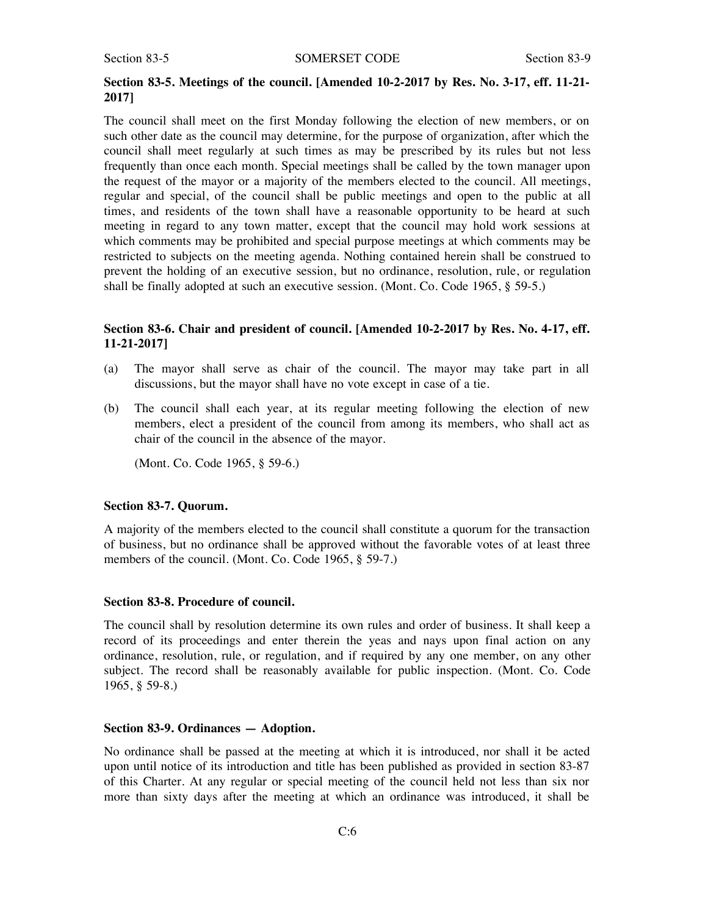#### Section 83-5 SOMERSET CODE Section 83-9

# **Section 83-5. Meetings of the council. [Amended 10-2-2017 by Res. No. 3-17, eff. 11-21- 2017]**

The council shall meet on the first Monday following the election of new members, or on such other date as the council may determine, for the purpose of organization, after which the council shall meet regularly at such times as may be prescribed by its rules but not less frequently than once each month. Special meetings shall be called by the town manager upon the request of the mayor or a majority of the members elected to the council. All meetings, regular and special, of the council shall be public meetings and open to the public at all times, and residents of the town shall have a reasonable opportunity to be heard at such meeting in regard to any town matter, except that the council may hold work sessions at which comments may be prohibited and special purpose meetings at which comments may be restricted to subjects on the meeting agenda. Nothing contained herein shall be construed to prevent the holding of an executive session, but no ordinance, resolution, rule, or regulation shall be finally adopted at such an executive session. (Mont. Co. Code 1965, § 59-5.)

# **Section 83-6. Chair and president of council. [Amended 10-2-2017 by Res. No. 4-17, eff. 11-21-2017]**

- (a) The mayor shall serve as chair of the council. The mayor may take part in all discussions, but the mayor shall have no vote except in case of a tie.
- (b) The council shall each year, at its regular meeting following the election of new members, elect a president of the council from among its members, who shall act as chair of the council in the absence of the mayor.

(Mont. Co. Code 1965, § 59-6.)

#### **Section 83-7. Quorum.**

A majority of the members elected to the council shall constitute a quorum for the transaction of business, but no ordinance shall be approved without the favorable votes of at least three members of the council. (Mont. Co. Code 1965, § 59-7.)

#### **Section 83-8. Procedure of council.**

The council shall by resolution determine its own rules and order of business. It shall keep a record of its proceedings and enter therein the yeas and nays upon final action on any ordinance, resolution, rule, or regulation, and if required by any one member, on any other subject. The record shall be reasonably available for public inspection. (Mont. Co. Code 1965, § 59-8.)

# **Section 83-9. Ordinances — Adoption.**

No ordinance shall be passed at the meeting at which it is introduced, nor shall it be acted upon until notice of its introduction and title has been published as provided in section 83-87 of this Charter. At any regular or special meeting of the council held not less than six nor more than sixty days after the meeting at which an ordinance was introduced, it shall be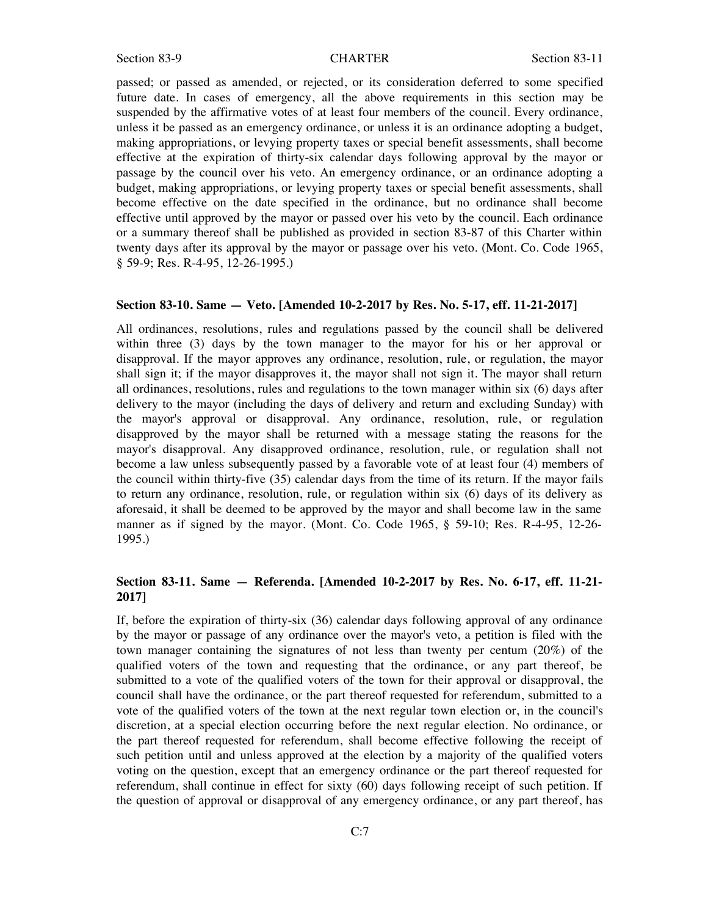passed; or passed as amended, or rejected, or its consideration deferred to some specified future date. In cases of emergency, all the above requirements in this section may be suspended by the affirmative votes of at least four members of the council. Every ordinance, unless it be passed as an emergency ordinance, or unless it is an ordinance adopting a budget, making appropriations, or levying property taxes or special benefit assessments, shall become effective at the expiration of thirty-six calendar days following approval by the mayor or passage by the council over his veto. An emergency ordinance, or an ordinance adopting a budget, making appropriations, or levying property taxes or special benefit assessments, shall become effective on the date specified in the ordinance, but no ordinance shall become effective until approved by the mayor or passed over his veto by the council. Each ordinance or a summary thereof shall be published as provided in section 83-87 of this Charter within twenty days after its approval by the mayor or passage over his veto. (Mont. Co. Code 1965, § 59-9; Res. R-4-95, 12-26-1995.)

# **Section 83-10. Same — Veto. [Amended 10-2-2017 by Res. No. 5-17, eff. 11-21-2017]**

All ordinances, resolutions, rules and regulations passed by the council shall be delivered within three (3) days by the town manager to the mayor for his or her approval or disapproval. If the mayor approves any ordinance, resolution, rule, or regulation, the mayor shall sign it; if the mayor disapproves it, the mayor shall not sign it. The mayor shall return all ordinances, resolutions, rules and regulations to the town manager within six (6) days after delivery to the mayor (including the days of delivery and return and excluding Sunday) with the mayor's approval or disapproval. Any ordinance, resolution, rule, or regulation disapproved by the mayor shall be returned with a message stating the reasons for the mayor's disapproval. Any disapproved ordinance, resolution, rule, or regulation shall not become a law unless subsequently passed by a favorable vote of at least four (4) members of the council within thirty-five (35) calendar days from the time of its return. If the mayor fails to return any ordinance, resolution, rule, or regulation within six (6) days of its delivery as aforesaid, it shall be deemed to be approved by the mayor and shall become law in the same manner as if signed by the mayor. (Mont. Co. Code 1965, § 59-10; Res. R-4-95, 12-26- 1995.)

# **Section 83-11. Same — Referenda. [Amended 10-2-2017 by Res. No. 6-17, eff. 11-21- 2017]**

If, before the expiration of thirty-six (36) calendar days following approval of any ordinance by the mayor or passage of any ordinance over the mayor's veto, a petition is filed with the town manager containing the signatures of not less than twenty per centum (20%) of the qualified voters of the town and requesting that the ordinance, or any part thereof, be submitted to a vote of the qualified voters of the town for their approval or disapproval, the council shall have the ordinance, or the part thereof requested for referendum, submitted to a vote of the qualified voters of the town at the next regular town election or, in the council's discretion, at a special election occurring before the next regular election. No ordinance, or the part thereof requested for referendum, shall become effective following the receipt of such petition until and unless approved at the election by a majority of the qualified voters voting on the question, except that an emergency ordinance or the part thereof requested for referendum, shall continue in effect for sixty (60) days following receipt of such petition. If the question of approval or disapproval of any emergency ordinance, or any part thereof, has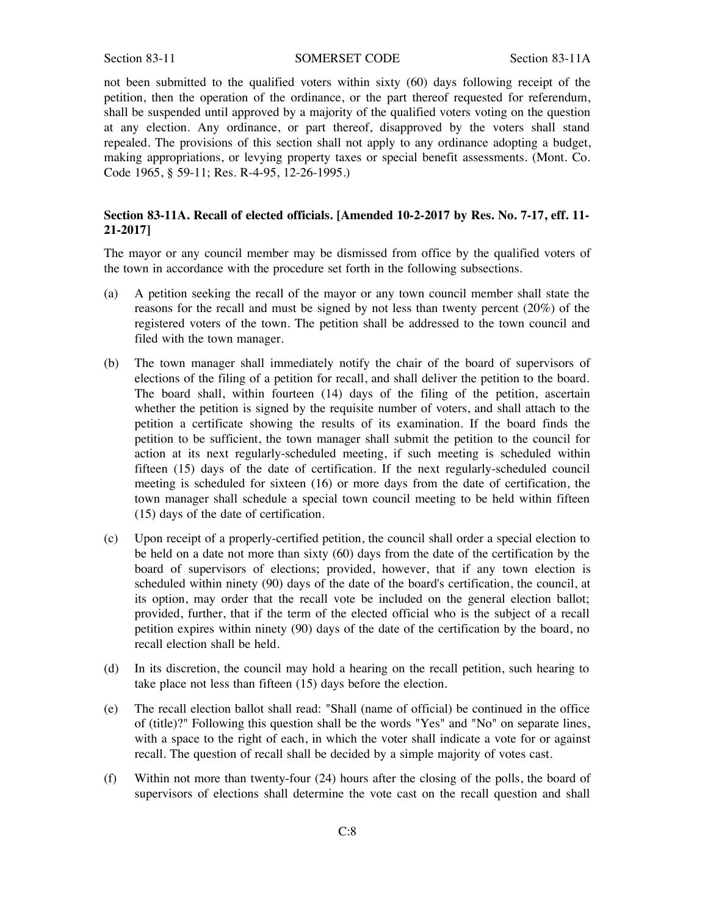#### Section 83-11 SOMERSET CODE Section 83-11A

not been submitted to the qualified voters within sixty (60) days following receipt of the petition, then the operation of the ordinance, or the part thereof requested for referendum, shall be suspended until approved by a majority of the qualified voters voting on the question at any election. Any ordinance, or part thereof, disapproved by the voters shall stand repealed. The provisions of this section shall not apply to any ordinance adopting a budget, making appropriations, or levying property taxes or special benefit assessments. (Mont. Co. Code 1965, § 59-11; Res. R-4-95, 12-26-1995.)

# **Section 83-11A. Recall of elected officials. [Amended 10-2-2017 by Res. No. 7-17, eff. 11- 21-2017]**

The mayor or any council member may be dismissed from office by the qualified voters of the town in accordance with the procedure set forth in the following subsections.

- (a) A petition seeking the recall of the mayor or any town council member shall state the reasons for the recall and must be signed by not less than twenty percent (20%) of the registered voters of the town. The petition shall be addressed to the town council and filed with the town manager.
- (b) The town manager shall immediately notify the chair of the board of supervisors of elections of the filing of a petition for recall, and shall deliver the petition to the board. The board shall, within fourteen (14) days of the filing of the petition, ascertain whether the petition is signed by the requisite number of voters, and shall attach to the petition a certificate showing the results of its examination. If the board finds the petition to be sufficient, the town manager shall submit the petition to the council for action at its next regularly-scheduled meeting, if such meeting is scheduled within fifteen (15) days of the date of certification. If the next regularly-scheduled council meeting is scheduled for sixteen (16) or more days from the date of certification, the town manager shall schedule a special town council meeting to be held within fifteen (15) days of the date of certification.
- (c) Upon receipt of a properly-certified petition, the council shall order a special election to be held on a date not more than sixty (60) days from the date of the certification by the board of supervisors of elections; provided, however, that if any town election is scheduled within ninety (90) days of the date of the board's certification, the council, at its option, may order that the recall vote be included on the general election ballot; provided, further, that if the term of the elected official who is the subject of a recall petition expires within ninety (90) days of the date of the certification by the board, no recall election shall be held.
- (d) In its discretion, the council may hold a hearing on the recall petition, such hearing to take place not less than fifteen (15) days before the election.
- (e) The recall election ballot shall read: "Shall (name of official) be continued in the office of (title)?" Following this question shall be the words "Yes" and "No" on separate lines, with a space to the right of each, in which the voter shall indicate a vote for or against recall. The question of recall shall be decided by a simple majority of votes cast.
- (f) Within not more than twenty-four (24) hours after the closing of the polls, the board of supervisors of elections shall determine the vote cast on the recall question and shall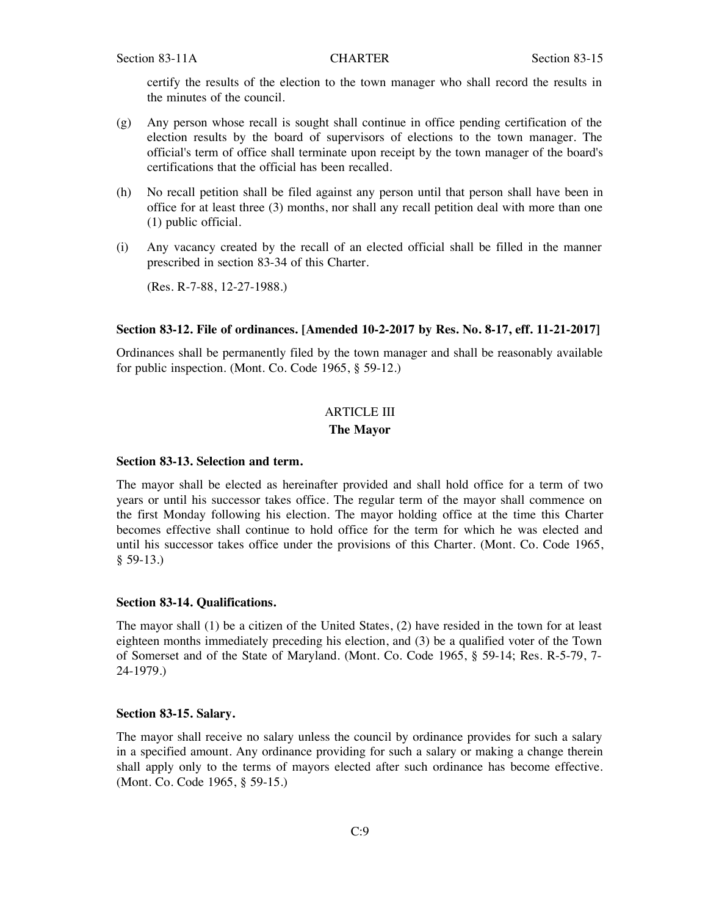certify the results of the election to the town manager who shall record the results in the minutes of the council.

- (g) Any person whose recall is sought shall continue in office pending certification of the election results by the board of supervisors of elections to the town manager. The official's term of office shall terminate upon receipt by the town manager of the board's certifications that the official has been recalled.
- (h) No recall petition shall be filed against any person until that person shall have been in office for at least three (3) months, nor shall any recall petition deal with more than one (1) public official.
- (i) Any vacancy created by the recall of an elected official shall be filled in the manner prescribed in section 83-34 of this Charter.

(Res. R-7-88, 12-27-1988.)

#### **Section 83-12. File of ordinances. [Amended 10-2-2017 by Res. No. 8-17, eff. 11-21-2017]**

Ordinances shall be permanently filed by the town manager and shall be reasonably available for public inspection. (Mont. Co. Code 1965, § 59-12.)

# ARTICLE III

#### **The Mayor**

#### **Section 83-13. Selection and term.**

The mayor shall be elected as hereinafter provided and shall hold office for a term of two years or until his successor takes office. The regular term of the mayor shall commence on the first Monday following his election. The mayor holding office at the time this Charter becomes effective shall continue to hold office for the term for which he was elected and until his successor takes office under the provisions of this Charter. (Mont. Co. Code 1965,  $$59-13.$ 

#### **Section 83-14. Qualifications.**

The mayor shall (1) be a citizen of the United States, (2) have resided in the town for at least eighteen months immediately preceding his election, and (3) be a qualified voter of the Town of Somerset and of the State of Maryland. (Mont. Co. Code 1965, § 59-14; Res. R-5-79, 7- 24-1979.)

#### **Section 83-15. Salary.**

The mayor shall receive no salary unless the council by ordinance provides for such a salary in a specified amount. Any ordinance providing for such a salary or making a change therein shall apply only to the terms of mayors elected after such ordinance has become effective. (Mont. Co. Code 1965, § 59-15.)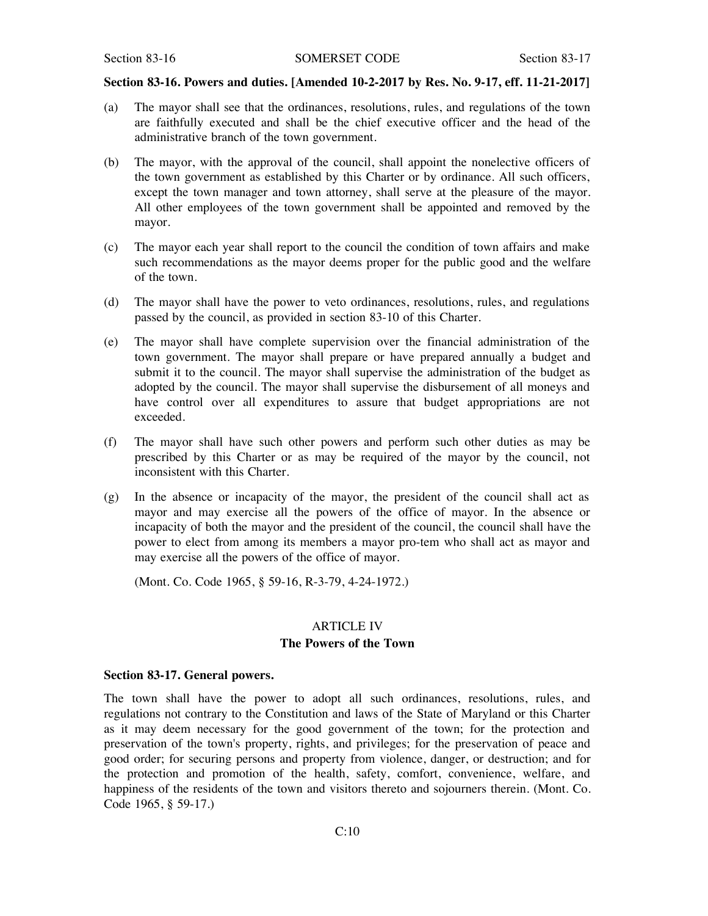# **Section 83-16. Powers and duties. [Amended 10-2-2017 by Res. No. 9-17, eff. 11-21-2017]**

- (a) The mayor shall see that the ordinances, resolutions, rules, and regulations of the town are faithfully executed and shall be the chief executive officer and the head of the administrative branch of the town government.
- (b) The mayor, with the approval of the council, shall appoint the nonelective officers of the town government as established by this Charter or by ordinance. All such officers, except the town manager and town attorney, shall serve at the pleasure of the mayor. All other employees of the town government shall be appointed and removed by the mayor.
- (c) The mayor each year shall report to the council the condition of town affairs and make such recommendations as the mayor deems proper for the public good and the welfare of the town.
- (d) The mayor shall have the power to veto ordinances, resolutions, rules, and regulations passed by the council, as provided in section 83-10 of this Charter.
- (e) The mayor shall have complete supervision over the financial administration of the town government. The mayor shall prepare or have prepared annually a budget and submit it to the council. The mayor shall supervise the administration of the budget as adopted by the council. The mayor shall supervise the disbursement of all moneys and have control over all expenditures to assure that budget appropriations are not exceeded.
- (f) The mayor shall have such other powers and perform such other duties as may be prescribed by this Charter or as may be required of the mayor by the council, not inconsistent with this Charter.
- (g) In the absence or incapacity of the mayor, the president of the council shall act as mayor and may exercise all the powers of the office of mayor. In the absence or incapacity of both the mayor and the president of the council, the council shall have the power to elect from among its members a mayor pro-tem who shall act as mayor and may exercise all the powers of the office of mayor.

(Mont. Co. Code 1965, § 59-16, R-3-79, 4-24-1972.)

#### ARTICLE IV

# **The Powers of the Town**

# **Section 83-17. General powers.**

The town shall have the power to adopt all such ordinances, resolutions, rules, and regulations not contrary to the Constitution and laws of the State of Maryland or this Charter as it may deem necessary for the good government of the town; for the protection and preservation of the town's property, rights, and privileges; for the preservation of peace and good order; for securing persons and property from violence, danger, or destruction; and for the protection and promotion of the health, safety, comfort, convenience, welfare, and happiness of the residents of the town and visitors thereto and sojourners therein. (Mont. Co. Code 1965, § 59-17.)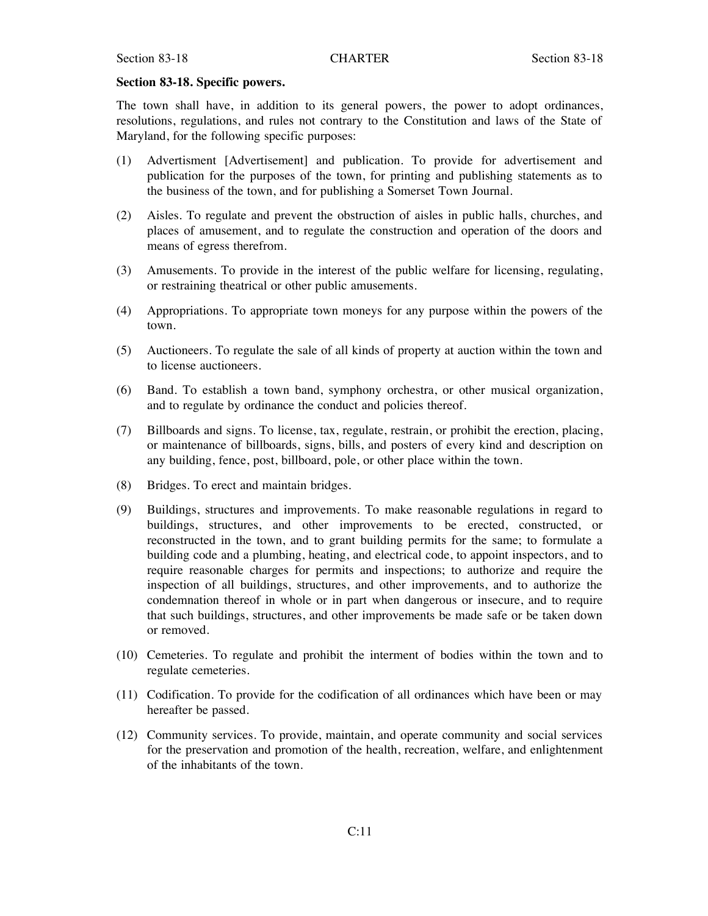#### **Section 83-18. Specific powers.**

The town shall have, in addition to its general powers, the power to adopt ordinances, resolutions, regulations, and rules not contrary to the Constitution and laws of the State of Maryland, for the following specific purposes:

- (1) Advertisment [Advertisement] and publication. To provide for advertisement and publication for the purposes of the town, for printing and publishing statements as to the business of the town, and for publishing a Somerset Town Journal.
- (2) Aisles. To regulate and prevent the obstruction of aisles in public halls, churches, and places of amusement, and to regulate the construction and operation of the doors and means of egress therefrom.
- (3) Amusements. To provide in the interest of the public welfare for licensing, regulating, or restraining theatrical or other public amusements.
- (4) Appropriations. To appropriate town moneys for any purpose within the powers of the town.
- (5) Auctioneers. To regulate the sale of all kinds of property at auction within the town and to license auctioneers.
- (6) Band. To establish a town band, symphony orchestra, or other musical organization, and to regulate by ordinance the conduct and policies thereof.
- (7) Billboards and signs. To license, tax, regulate, restrain, or prohibit the erection, placing, or maintenance of billboards, signs, bills, and posters of every kind and description on any building, fence, post, billboard, pole, or other place within the town.
- (8) Bridges. To erect and maintain bridges.
- (9) Buildings, structures and improvements. To make reasonable regulations in regard to buildings, structures, and other improvements to be erected, constructed, or reconstructed in the town, and to grant building permits for the same; to formulate a building code and a plumbing, heating, and electrical code, to appoint inspectors, and to require reasonable charges for permits and inspections; to authorize and require the inspection of all buildings, structures, and other improvements, and to authorize the condemnation thereof in whole or in part when dangerous or insecure, and to require that such buildings, structures, and other improvements be made safe or be taken down or removed.
- (10) Cemeteries. To regulate and prohibit the interment of bodies within the town and to regulate cemeteries.
- (11) Codification. To provide for the codification of all ordinances which have been or may hereafter be passed.
- (12) Community services. To provide, maintain, and operate community and social services for the preservation and promotion of the health, recreation, welfare, and enlightenment of the inhabitants of the town.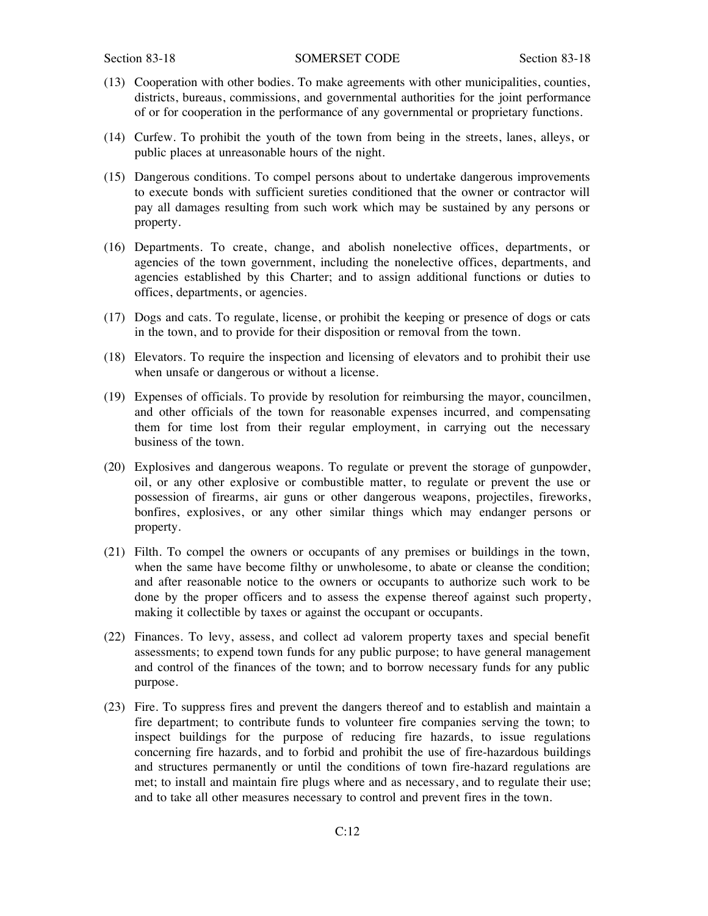- (13) Cooperation with other bodies. To make agreements with other municipalities, counties, districts, bureaus, commissions, and governmental authorities for the joint performance of or for cooperation in the performance of any governmental or proprietary functions.
- (14) Curfew. To prohibit the youth of the town from being in the streets, lanes, alleys, or public places at unreasonable hours of the night.
- (15) Dangerous conditions. To compel persons about to undertake dangerous improvements to execute bonds with sufficient sureties conditioned that the owner or contractor will pay all damages resulting from such work which may be sustained by any persons or property.
- (16) Departments. To create, change, and abolish nonelective offices, departments, or agencies of the town government, including the nonelective offices, departments, and agencies established by this Charter; and to assign additional functions or duties to offices, departments, or agencies.
- (17) Dogs and cats. To regulate, license, or prohibit the keeping or presence of dogs or cats in the town, and to provide for their disposition or removal from the town.
- (18) Elevators. To require the inspection and licensing of elevators and to prohibit their use when unsafe or dangerous or without a license.
- (19) Expenses of officials. To provide by resolution for reimbursing the mayor, councilmen, and other officials of the town for reasonable expenses incurred, and compensating them for time lost from their regular employment, in carrying out the necessary business of the town.
- (20) Explosives and dangerous weapons. To regulate or prevent the storage of gunpowder, oil, or any other explosive or combustible matter, to regulate or prevent the use or possession of firearms, air guns or other dangerous weapons, projectiles, fireworks, bonfires, explosives, or any other similar things which may endanger persons or property.
- (21) Filth. To compel the owners or occupants of any premises or buildings in the town, when the same have become filthy or unwholesome, to abate or cleanse the condition; and after reasonable notice to the owners or occupants to authorize such work to be done by the proper officers and to assess the expense thereof against such property, making it collectible by taxes or against the occupant or occupants.
- (22) Finances. To levy, assess, and collect ad valorem property taxes and special benefit assessments; to expend town funds for any public purpose; to have general management and control of the finances of the town; and to borrow necessary funds for any public purpose.
- (23) Fire. To suppress fires and prevent the dangers thereof and to establish and maintain a fire department; to contribute funds to volunteer fire companies serving the town; to inspect buildings for the purpose of reducing fire hazards, to issue regulations concerning fire hazards, and to forbid and prohibit the use of fire-hazardous buildings and structures permanently or until the conditions of town fire-hazard regulations are met; to install and maintain fire plugs where and as necessary, and to regulate their use; and to take all other measures necessary to control and prevent fires in the town.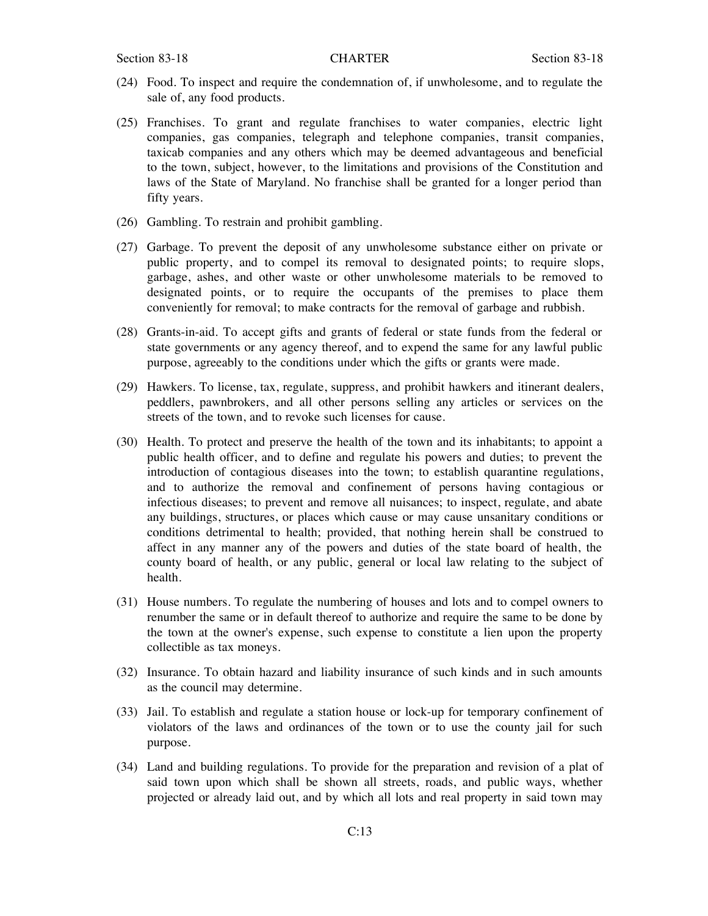- (24) Food. To inspect and require the condemnation of, if unwholesome, and to regulate the sale of, any food products.
- (25) Franchises. To grant and regulate franchises to water companies, electric light companies, gas companies, telegraph and telephone companies, transit companies, taxicab companies and any others which may be deemed advantageous and beneficial to the town, subject, however, to the limitations and provisions of the Constitution and laws of the State of Maryland. No franchise shall be granted for a longer period than fifty years.
- (26) Gambling. To restrain and prohibit gambling.
- (27) Garbage. To prevent the deposit of any unwholesome substance either on private or public property, and to compel its removal to designated points; to require slops, garbage, ashes, and other waste or other unwholesome materials to be removed to designated points, or to require the occupants of the premises to place them conveniently for removal; to make contracts for the removal of garbage and rubbish.
- (28) Grants-in-aid. To accept gifts and grants of federal or state funds from the federal or state governments or any agency thereof, and to expend the same for any lawful public purpose, agreeably to the conditions under which the gifts or grants were made.
- (29) Hawkers. To license, tax, regulate, suppress, and prohibit hawkers and itinerant dealers, peddlers, pawnbrokers, and all other persons selling any articles or services on the streets of the town, and to revoke such licenses for cause.
- (30) Health. To protect and preserve the health of the town and its inhabitants; to appoint a public health officer, and to define and regulate his powers and duties; to prevent the introduction of contagious diseases into the town; to establish quarantine regulations, and to authorize the removal and confinement of persons having contagious or infectious diseases; to prevent and remove all nuisances; to inspect, regulate, and abate any buildings, structures, or places which cause or may cause unsanitary conditions or conditions detrimental to health; provided, that nothing herein shall be construed to affect in any manner any of the powers and duties of the state board of health, the county board of health, or any public, general or local law relating to the subject of health.
- (31) House numbers. To regulate the numbering of houses and lots and to compel owners to renumber the same or in default thereof to authorize and require the same to be done by the town at the owner's expense, such expense to constitute a lien upon the property collectible as tax moneys.
- (32) Insurance. To obtain hazard and liability insurance of such kinds and in such amounts as the council may determine.
- (33) Jail. To establish and regulate a station house or lock-up for temporary confinement of violators of the laws and ordinances of the town or to use the county jail for such purpose.
- (34) Land and building regulations. To provide for the preparation and revision of a plat of said town upon which shall be shown all streets, roads, and public ways, whether projected or already laid out, and by which all lots and real property in said town may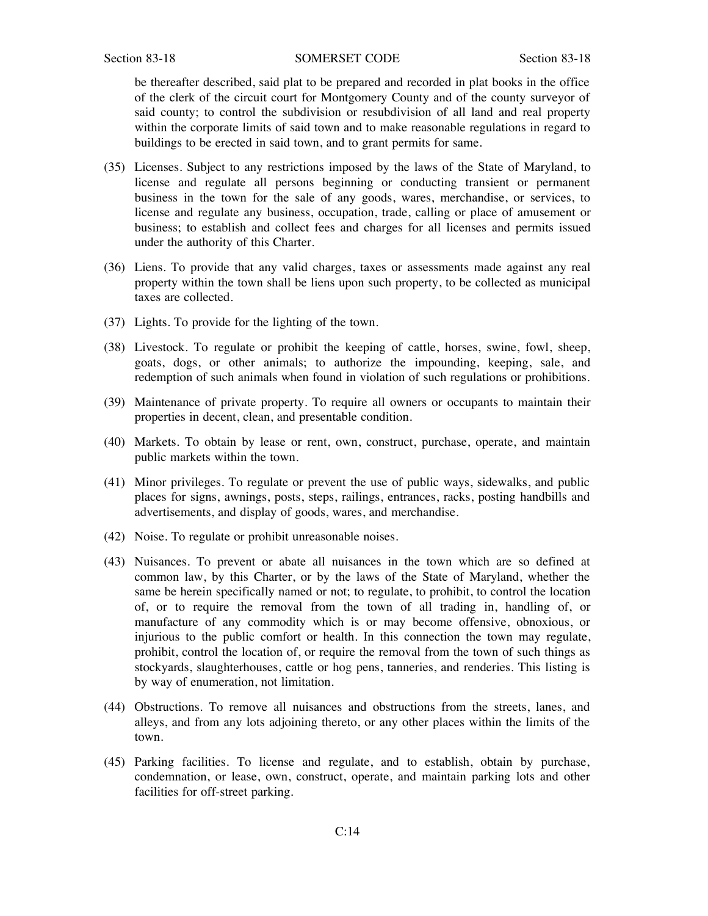#### Section 83-18 SOMERSET CODE Section 83-18

be thereafter described, said plat to be prepared and recorded in plat books in the office of the clerk of the circuit court for Montgomery County and of the county surveyor of said county; to control the subdivision or resubdivision of all land and real property within the corporate limits of said town and to make reasonable regulations in regard to buildings to be erected in said town, and to grant permits for same.

- (35) Licenses. Subject to any restrictions imposed by the laws of the State of Maryland, to license and regulate all persons beginning or conducting transient or permanent business in the town for the sale of any goods, wares, merchandise, or services, to license and regulate any business, occupation, trade, calling or place of amusement or business; to establish and collect fees and charges for all licenses and permits issued under the authority of this Charter.
- (36) Liens. To provide that any valid charges, taxes or assessments made against any real property within the town shall be liens upon such property, to be collected as municipal taxes are collected.
- (37) Lights. To provide for the lighting of the town.
- (38) Livestock. To regulate or prohibit the keeping of cattle, horses, swine, fowl, sheep, goats, dogs, or other animals; to authorize the impounding, keeping, sale, and redemption of such animals when found in violation of such regulations or prohibitions.
- (39) Maintenance of private property. To require all owners or occupants to maintain their properties in decent, clean, and presentable condition.
- (40) Markets. To obtain by lease or rent, own, construct, purchase, operate, and maintain public markets within the town.
- (41) Minor privileges. To regulate or prevent the use of public ways, sidewalks, and public places for signs, awnings, posts, steps, railings, entrances, racks, posting handbills and advertisements, and display of goods, wares, and merchandise.
- (42) Noise. To regulate or prohibit unreasonable noises.
- (43) Nuisances. To prevent or abate all nuisances in the town which are so defined at common law, by this Charter, or by the laws of the State of Maryland, whether the same be herein specifically named or not; to regulate, to prohibit, to control the location of, or to require the removal from the town of all trading in, handling of, or manufacture of any commodity which is or may become offensive, obnoxious, or injurious to the public comfort or health. In this connection the town may regulate, prohibit, control the location of, or require the removal from the town of such things as stockyards, slaughterhouses, cattle or hog pens, tanneries, and renderies. This listing is by way of enumeration, not limitation.
- (44) Obstructions. To remove all nuisances and obstructions from the streets, lanes, and alleys, and from any lots adjoining thereto, or any other places within the limits of the town.
- (45) Parking facilities. To license and regulate, and to establish, obtain by purchase, condemnation, or lease, own, construct, operate, and maintain parking lots and other facilities for off-street parking.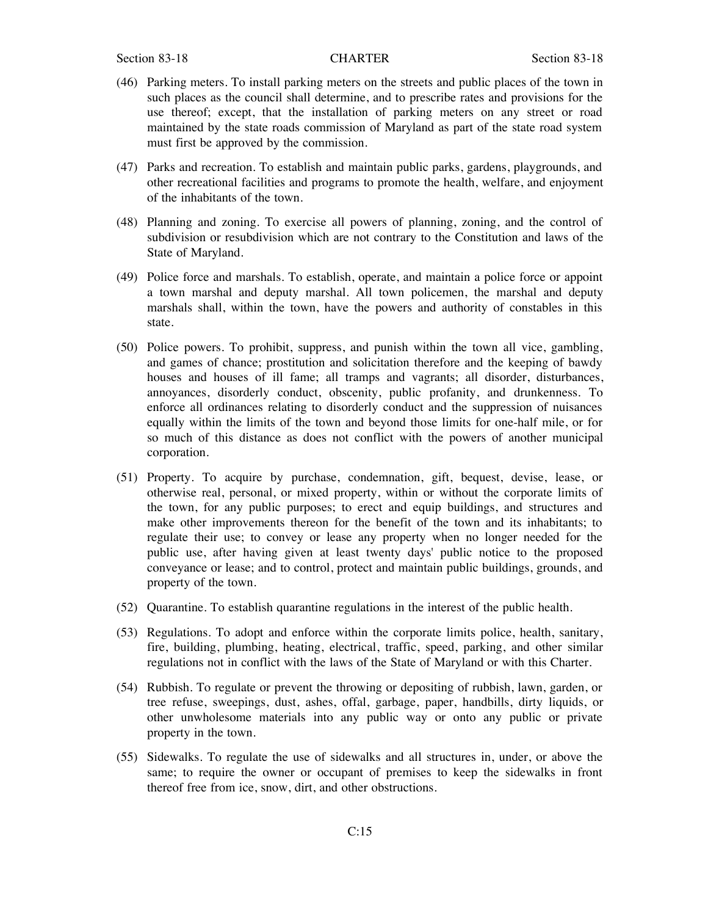- (46) Parking meters. To install parking meters on the streets and public places of the town in such places as the council shall determine, and to prescribe rates and provisions for the use thereof; except, that the installation of parking meters on any street or road maintained by the state roads commission of Maryland as part of the state road system must first be approved by the commission.
- (47) Parks and recreation. To establish and maintain public parks, gardens, playgrounds, and other recreational facilities and programs to promote the health, welfare, and enjoyment of the inhabitants of the town.
- (48) Planning and zoning. To exercise all powers of planning, zoning, and the control of subdivision or resubdivision which are not contrary to the Constitution and laws of the State of Maryland.
- (49) Police force and marshals. To establish, operate, and maintain a police force or appoint a town marshal and deputy marshal. All town policemen, the marshal and deputy marshals shall, within the town, have the powers and authority of constables in this state.
- (50) Police powers. To prohibit, suppress, and punish within the town all vice, gambling, and games of chance; prostitution and solicitation therefore and the keeping of bawdy houses and houses of ill fame; all tramps and vagrants; all disorder, disturbances, annoyances, disorderly conduct, obscenity, public profanity, and drunkenness. To enforce all ordinances relating to disorderly conduct and the suppression of nuisances equally within the limits of the town and beyond those limits for one-half mile, or for so much of this distance as does not conflict with the powers of another municipal corporation.
- (51) Property. To acquire by purchase, condemnation, gift, bequest, devise, lease, or otherwise real, personal, or mixed property, within or without the corporate limits of the town, for any public purposes; to erect and equip buildings, and structures and make other improvements thereon for the benefit of the town and its inhabitants; to regulate their use; to convey or lease any property when no longer needed for the public use, after having given at least twenty days' public notice to the proposed conveyance or lease; and to control, protect and maintain public buildings, grounds, and property of the town.
- (52) Quarantine. To establish quarantine regulations in the interest of the public health.
- (53) Regulations. To adopt and enforce within the corporate limits police, health, sanitary, fire, building, plumbing, heating, electrical, traffic, speed, parking, and other similar regulations not in conflict with the laws of the State of Maryland or with this Charter.
- (54) Rubbish. To regulate or prevent the throwing or depositing of rubbish, lawn, garden, or tree refuse, sweepings, dust, ashes, offal, garbage, paper, handbills, dirty liquids, or other unwholesome materials into any public way or onto any public or private property in the town.
- (55) Sidewalks. To regulate the use of sidewalks and all structures in, under, or above the same; to require the owner or occupant of premises to keep the sidewalks in front thereof free from ice, snow, dirt, and other obstructions.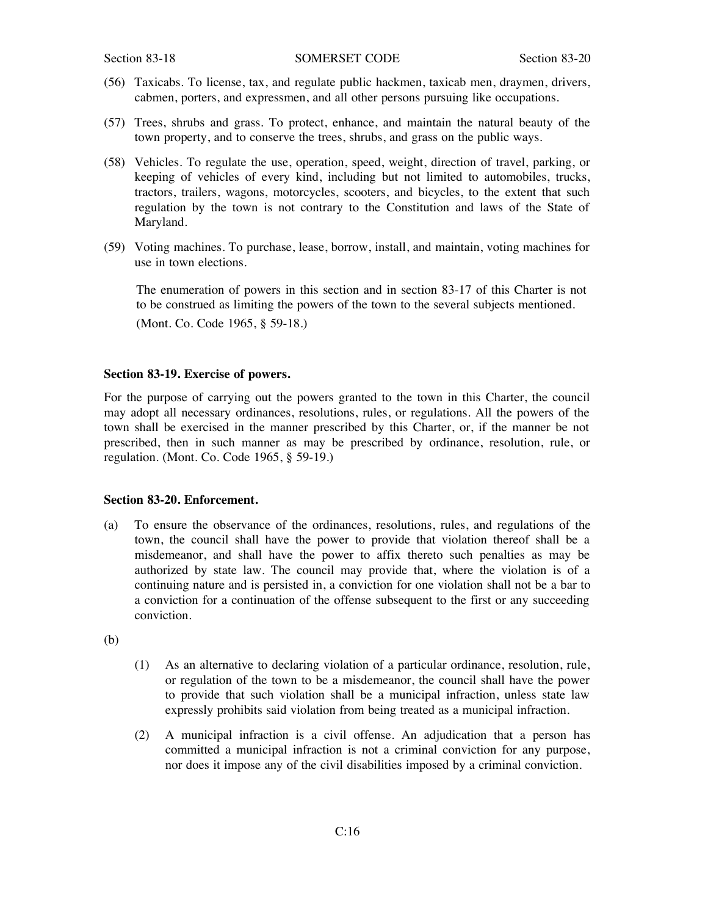- (56) Taxicabs. To license, tax, and regulate public hackmen, taxicab men, draymen, drivers, cabmen, porters, and expressmen, and all other persons pursuing like occupations.
- (57) Trees, shrubs and grass. To protect, enhance, and maintain the natural beauty of the town property, and to conserve the trees, shrubs, and grass on the public ways.
- (58) Vehicles. To regulate the use, operation, speed, weight, direction of travel, parking, or keeping of vehicles of every kind, including but not limited to automobiles, trucks, tractors, trailers, wagons, motorcycles, scooters, and bicycles, to the extent that such regulation by the town is not contrary to the Constitution and laws of the State of Maryland.
- (59) Voting machines. To purchase, lease, borrow, install, and maintain, voting machines for use in town elections.

The enumeration of powers in this section and in section 83-17 of this Charter is not to be construed as limiting the powers of the town to the several subjects mentioned. (Mont. Co. Code 1965, § 59-18.)

# **Section 83-19. Exercise of powers.**

For the purpose of carrying out the powers granted to the town in this Charter, the council may adopt all necessary ordinances, resolutions, rules, or regulations. All the powers of the town shall be exercised in the manner prescribed by this Charter, or, if the manner be not prescribed, then in such manner as may be prescribed by ordinance, resolution, rule, or regulation. (Mont. Co. Code 1965, § 59-19.)

#### **Section 83-20. Enforcement.**

- (a) To ensure the observance of the ordinances, resolutions, rules, and regulations of the town, the council shall have the power to provide that violation thereof shall be a misdemeanor, and shall have the power to affix thereto such penalties as may be authorized by state law. The council may provide that, where the violation is of a continuing nature and is persisted in, a conviction for one violation shall not be a bar to a conviction for a continuation of the offense subsequent to the first or any succeeding conviction.
- (b)
- (1) As an alternative to declaring violation of a particular ordinance, resolution, rule, or regulation of the town to be a misdemeanor, the council shall have the power to provide that such violation shall be a municipal infraction, unless state law expressly prohibits said violation from being treated as a municipal infraction.
- (2) A municipal infraction is a civil offense. An adjudication that a person has committed a municipal infraction is not a criminal conviction for any purpose, nor does it impose any of the civil disabilities imposed by a criminal conviction.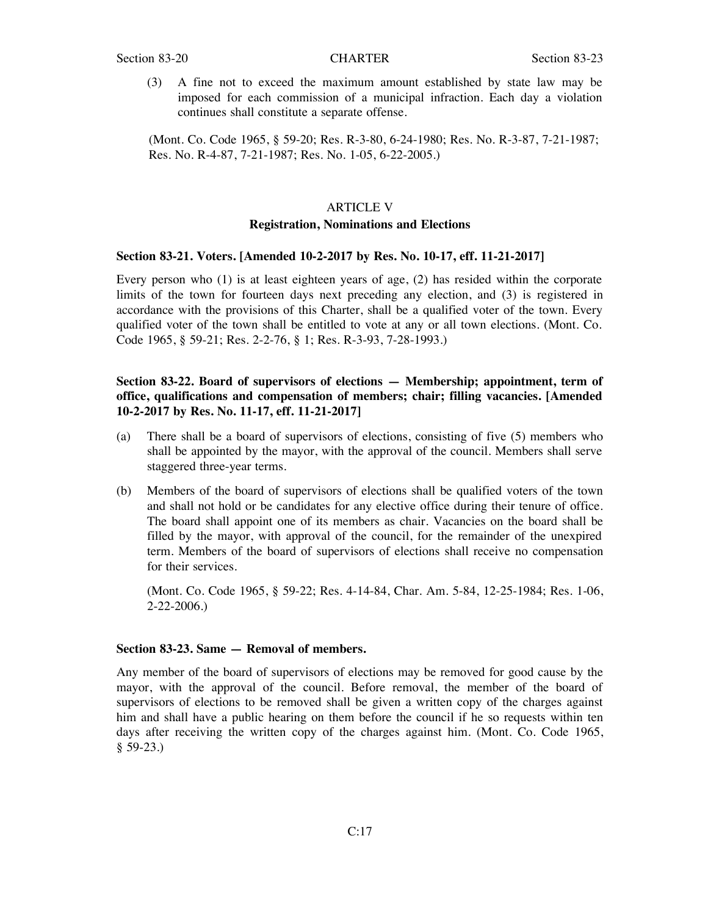(3) A fine not to exceed the maximum amount established by state law may be imposed for each commission of a municipal infraction. Each day a violation continues shall constitute a separate offense.

(Mont. Co. Code 1965, § 59-20; Res. R-3-80, 6-24-1980; Res. No. R-3-87, 7-21-1987; Res. No. R-4-87, 7-21-1987; Res. No. 1-05, 6-22-2005.)

#### ARTICLE V

### **Registration, Nominations and Elections**

# **Section 83-21. Voters. [Amended 10-2-2017 by Res. No. 10-17, eff. 11-21-2017]**

Every person who (1) is at least eighteen years of age, (2) has resided within the corporate limits of the town for fourteen days next preceding any election, and (3) is registered in accordance with the provisions of this Charter, shall be a qualified voter of the town. Every qualified voter of the town shall be entitled to vote at any or all town elections. (Mont. Co. Code 1965, § 59-21; Res. 2-2-76, § 1; Res. R-3-93, 7-28-1993.)

# **Section 83-22. Board of supervisors of elections — Membership; appointment, term of office, qualifications and compensation of members; chair; filling vacancies. [Amended 10-2-2017 by Res. No. 11-17, eff. 11-21-2017]**

- (a) There shall be a board of supervisors of elections, consisting of five (5) members who shall be appointed by the mayor, with the approval of the council. Members shall serve staggered three-year terms.
- (b) Members of the board of supervisors of elections shall be qualified voters of the town and shall not hold or be candidates for any elective office during their tenure of office. The board shall appoint one of its members as chair. Vacancies on the board shall be filled by the mayor, with approval of the council, for the remainder of the unexpired term. Members of the board of supervisors of elections shall receive no compensation for their services.

(Mont. Co. Code 1965, § 59-22; Res. 4-14-84, Char. Am. 5-84, 12-25-1984; Res. 1-06, 2-22-2006.)

#### **Section 83-23. Same — Removal of members.**

Any member of the board of supervisors of elections may be removed for good cause by the mayor, with the approval of the council. Before removal, the member of the board of supervisors of elections to be removed shall be given a written copy of the charges against him and shall have a public hearing on them before the council if he so requests within ten days after receiving the written copy of the charges against him. (Mont. Co. Code 1965, § 59-23.)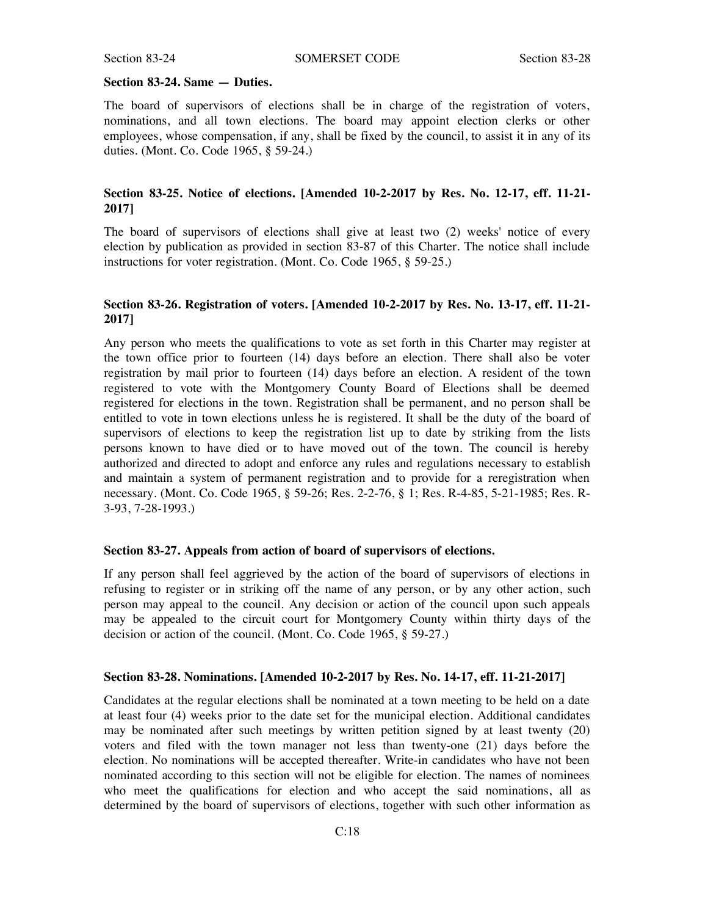# **Section 83-24. Same — Duties.**

The board of supervisors of elections shall be in charge of the registration of voters, nominations, and all town elections. The board may appoint election clerks or other employees, whose compensation, if any, shall be fixed by the council, to assist it in any of its duties. (Mont. Co. Code 1965, § 59-24.)

# **Section 83-25. Notice of elections. [Amended 10-2-2017 by Res. No. 12-17, eff. 11-21- 2017]**

The board of supervisors of elections shall give at least two (2) weeks' notice of every election by publication as provided in section 83-87 of this Charter. The notice shall include instructions for voter registration. (Mont. Co. Code 1965, § 59-25.)

# **Section 83-26. Registration of voters. [Amended 10-2-2017 by Res. No. 13-17, eff. 11-21- 2017]**

Any person who meets the qualifications to vote as set forth in this Charter may register at the town office prior to fourteen (14) days before an election. There shall also be voter registration by mail prior to fourteen (14) days before an election. A resident of the town registered to vote with the Montgomery County Board of Elections shall be deemed registered for elections in the town. Registration shall be permanent, and no person shall be entitled to vote in town elections unless he is registered. It shall be the duty of the board of supervisors of elections to keep the registration list up to date by striking from the lists persons known to have died or to have moved out of the town. The council is hereby authorized and directed to adopt and enforce any rules and regulations necessary to establish and maintain a system of permanent registration and to provide for a reregistration when necessary. (Mont. Co. Code 1965, § 59-26; Res. 2-2-76, § 1; Res. R-4-85, 5-21-1985; Res. R-3-93, 7-28-1993.)

#### **Section 83-27. Appeals from action of board of supervisors of elections.**

If any person shall feel aggrieved by the action of the board of supervisors of elections in refusing to register or in striking off the name of any person, or by any other action, such person may appeal to the council. Any decision or action of the council upon such appeals may be appealed to the circuit court for Montgomery County within thirty days of the decision or action of the council. (Mont. Co. Code 1965, § 59-27.)

# **Section 83-28. Nominations. [Amended 10-2-2017 by Res. No. 14-17, eff. 11-21-2017]**

Candidates at the regular elections shall be nominated at a town meeting to be held on a date at least four (4) weeks prior to the date set for the municipal election. Additional candidates may be nominated after such meetings by written petition signed by at least twenty (20) voters and filed with the town manager not less than twenty-one (21) days before the election. No nominations will be accepted thereafter. Write-in candidates who have not been nominated according to this section will not be eligible for election. The names of nominees who meet the qualifications for election and who accept the said nominations, all as determined by the board of supervisors of elections, together with such other information as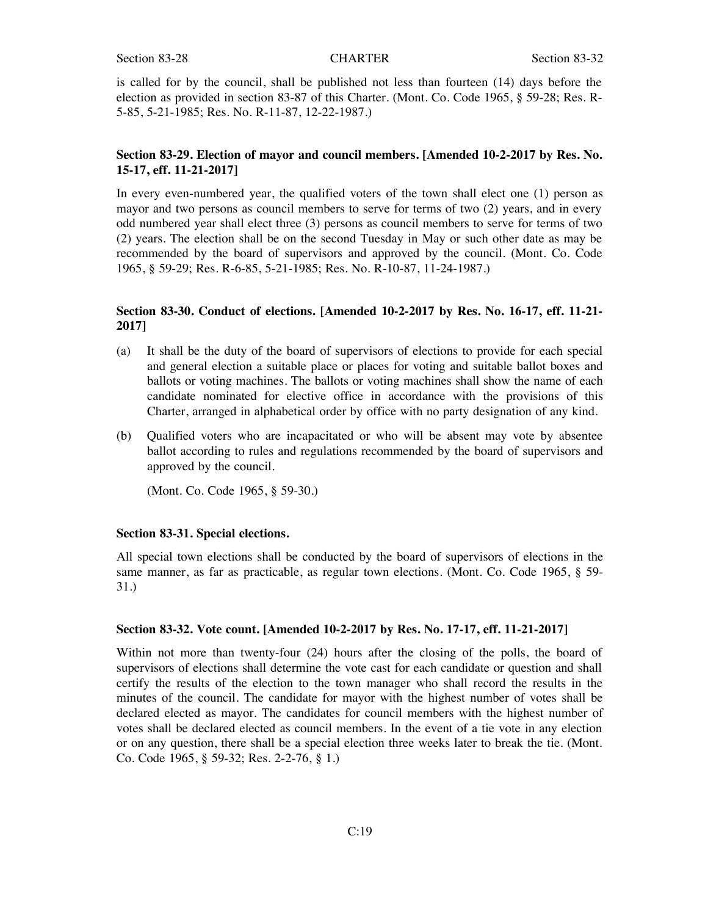is called for by the council, shall be published not less than fourteen (14) days before the election as provided in section 83-87 of this Charter. (Mont. Co. Code 1965, § 59-28; Res. R-5-85, 5-21-1985; Res. No. R-11-87, 12-22-1987.)

# **Section 83-29. Election of mayor and council members. [Amended 10-2-2017 by Res. No. 15-17, eff. 11-21-2017]**

In every even-numbered year, the qualified voters of the town shall elect one (1) person as mayor and two persons as council members to serve for terms of two (2) years, and in every odd numbered year shall elect three (3) persons as council members to serve for terms of two (2) years. The election shall be on the second Tuesday in May or such other date as may be recommended by the board of supervisors and approved by the council. (Mont. Co. Code 1965, § 59-29; Res. R-6-85, 5-21-1985; Res. No. R-10-87, 11-24-1987.)

# **Section 83-30. Conduct of elections. [Amended 10-2-2017 by Res. No. 16-17, eff. 11-21- 2017]**

- (a) It shall be the duty of the board of supervisors of elections to provide for each special and general election a suitable place or places for voting and suitable ballot boxes and ballots or voting machines. The ballots or voting machines shall show the name of each candidate nominated for elective office in accordance with the provisions of this Charter, arranged in alphabetical order by office with no party designation of any kind.
- (b) Qualified voters who are incapacitated or who will be absent may vote by absentee ballot according to rules and regulations recommended by the board of supervisors and approved by the council.

(Mont. Co. Code 1965, § 59-30.)

# **Section 83-31. Special elections.**

All special town elections shall be conducted by the board of supervisors of elections in the same manner, as far as practicable, as regular town elections. (Mont. Co. Code 1965, § 59- 31.)

#### **Section 83-32. Vote count. [Amended 10-2-2017 by Res. No. 17-17, eff. 11-21-2017]**

Within not more than twenty-four (24) hours after the closing of the polls, the board of supervisors of elections shall determine the vote cast for each candidate or question and shall certify the results of the election to the town manager who shall record the results in the minutes of the council. The candidate for mayor with the highest number of votes shall be declared elected as mayor. The candidates for council members with the highest number of votes shall be declared elected as council members. In the event of a tie vote in any election or on any question, there shall be a special election three weeks later to break the tie. (Mont. Co. Code 1965, § 59-32; Res. 2-2-76, § 1.)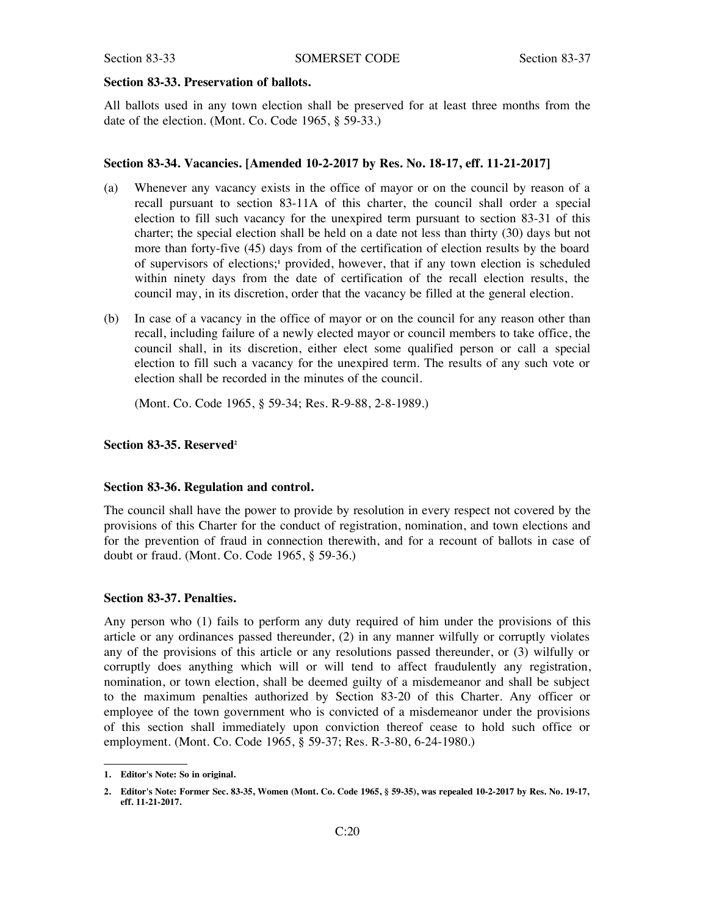#### **Section 83-33. Preservation of ballots.**

All ballots used in any town election shall be preserved for at least three months from the date of the election. (Mont. Co. Code 1965, § 59-33.)

#### **Section 83-34. Vacancies. [Amended 10-2-2017 by Res. No. 18-17, eff. 11-21-2017]**

- (a) Whenever any vacancy exists in the office of mayor or on the council by reason of a recall pursuant to section 83-11A of this charter, the council shall order a special election to fill such vacancy for the unexpired term pursuant to section 83-31 of this charter; the special election shall be held on a date not less than thirty (30) days but not more than forty-five (45) days from of the certification of election results by the board of supervisors of elections;**<sup>1</sup>** provided, however, that if any town election is scheduled within ninety days from the date of certification of the recall election results, the council may, in its discretion, order that the vacancy be filled at the general election.
- (b) In case of a vacancy in the office of mayor or on the council for any reason other than recall, including failure of a newly elected mayor or council members to take office, the council shall, in its discretion, either elect some qualified person or call a special election to fill such a vacancy for the unexpired term. The results of any such vote or election shall be recorded in the minutes of the council.

(Mont. Co. Code 1965, § 59-34; Res. R-9-88, 2-8-1989.)

#### **Section 83-35. Reserved2**

#### **Section 83-36. Regulation and control.**

The council shall have the power to provide by resolution in every respect not covered by the provisions of this Charter for the conduct of registration, nomination, and town elections and for the prevention of fraud in connection therewith, and for a recount of ballots in case of doubt or fraud. (Mont. Co. Code 1965, § 59-36.)

#### **Section 83-37. Penalties.**

Any person who (1) fails to perform any duty required of him under the provisions of this article or any ordinances passed thereunder, (2) in any manner wilfully or corruptly violates any of the provisions of this article or any resolutions passed thereunder, or (3) wilfully or corruptly does anything which will or will tend to affect fraudulently any registration, nomination, or town election, shall be deemed guilty of a misdemeanor and shall be subject to the maximum penalties authorized by Section 83-20 of this Charter. Any officer or employee of the town government who is convicted of a misdemeanor under the provisions of this section shall immediately upon conviction thereof cease to hold such office or employment. (Mont. Co. Code 1965, § 59-37; Res. R-3-80, 6-24-1980.)

**<sup>1.</sup> Editor's Note: So in original.**

<sup>2.</sup> Editor's Note: Former Sec. 83-35, Women (Mont. Co. Code 1965, § 59-35), was repealed 10-2-2017 by Res. No. 19-17, **eff. 11-21-2017.**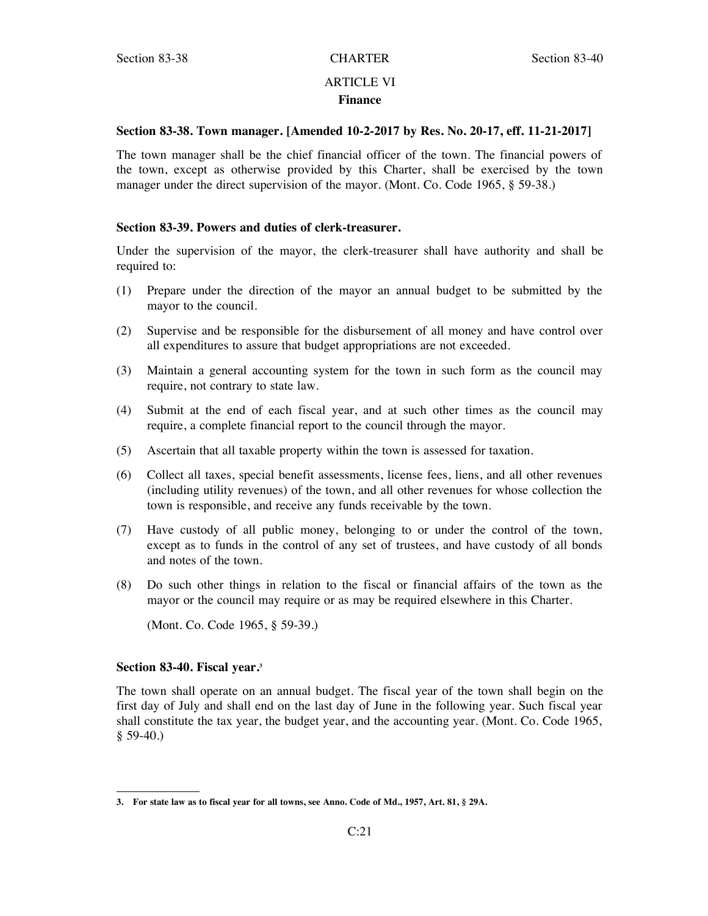# ARTICLE VI **Finance**

# **Section 83-38. Town manager. [Amended 10-2-2017 by Res. No. 20-17, eff. 11-21-2017]**

The town manager shall be the chief financial officer of the town. The financial powers of the town, except as otherwise provided by this Charter, shall be exercised by the town manager under the direct supervision of the mayor. (Mont. Co. Code 1965, § 59-38.)

# **Section 83-39. Powers and duties of clerk-treasurer.**

Under the supervision of the mayor, the clerk-treasurer shall have authority and shall be required to:

- (1) Prepare under the direction of the mayor an annual budget to be submitted by the mayor to the council.
- (2) Supervise and be responsible for the disbursement of all money and have control over all expenditures to assure that budget appropriations are not exceeded.
- (3) Maintain a general accounting system for the town in such form as the council may require, not contrary to state law.
- (4) Submit at the end of each fiscal year, and at such other times as the council may require, a complete financial report to the council through the mayor.
- (5) Ascertain that all taxable property within the town is assessed for taxation.
- (6) Collect all taxes, special benefit assessments, license fees, liens, and all other revenues (including utility revenues) of the town, and all other revenues for whose collection the town is responsible, and receive any funds receivable by the town.
- (7) Have custody of all public money, belonging to or under the control of the town, except as to funds in the control of any set of trustees, and have custody of all bonds and notes of the town.
- (8) Do such other things in relation to the fiscal or financial affairs of the town as the mayor or the council may require or as may be required elsewhere in this Charter.

(Mont. Co. Code 1965, § 59-39.)

# **Section 83-40. Fiscal year.3**

The town shall operate on an annual budget. The fiscal year of the town shall begin on the first day of July and shall end on the last day of June in the following year. Such fiscal year shall constitute the tax year, the budget year, and the accounting year. (Mont. Co. Code 1965,  $$59-40.$ )

<sup>3.</sup> For state law as to fiscal year for all towns, see Anno. Code of Md., 1957, Art. 81, § 29A.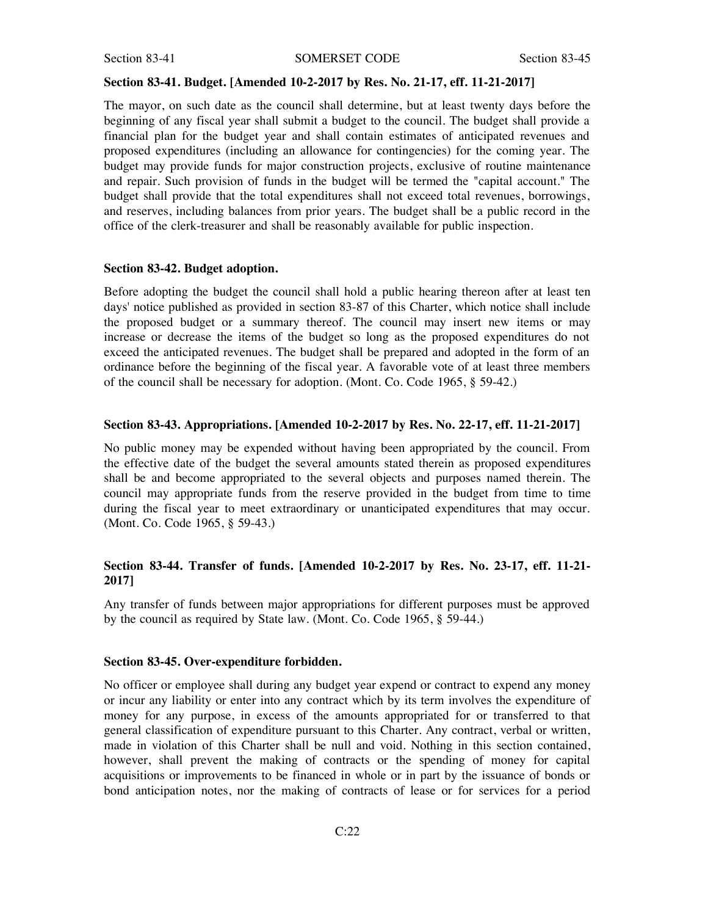#### **Section 83-41. Budget. [Amended 10-2-2017 by Res. No. 21-17, eff. 11-21-2017]**

The mayor, on such date as the council shall determine, but at least twenty days before the beginning of any fiscal year shall submit a budget to the council. The budget shall provide a financial plan for the budget year and shall contain estimates of anticipated revenues and proposed expenditures (including an allowance for contingencies) for the coming year. The budget may provide funds for major construction projects, exclusive of routine maintenance and repair. Such provision of funds in the budget will be termed the "capital account." The budget shall provide that the total expenditures shall not exceed total revenues, borrowings, and reserves, including balances from prior years. The budget shall be a public record in the office of the clerk-treasurer and shall be reasonably available for public inspection.

#### **Section 83-42. Budget adoption.**

Before adopting the budget the council shall hold a public hearing thereon after at least ten days' notice published as provided in section 83-87 of this Charter, which notice shall include the proposed budget or a summary thereof. The council may insert new items or may increase or decrease the items of the budget so long as the proposed expenditures do not exceed the anticipated revenues. The budget shall be prepared and adopted in the form of an ordinance before the beginning of the fiscal year. A favorable vote of at least three members of the council shall be necessary for adoption. (Mont. Co. Code 1965, § 59-42.)

#### **Section 83-43. Appropriations. [Amended 10-2-2017 by Res. No. 22-17, eff. 11-21-2017]**

No public money may be expended without having been appropriated by the council. From the effective date of the budget the several amounts stated therein as proposed expenditures shall be and become appropriated to the several objects and purposes named therein. The council may appropriate funds from the reserve provided in the budget from time to time during the fiscal year to meet extraordinary or unanticipated expenditures that may occur. (Mont. Co. Code 1965, § 59-43.)

# **Section 83-44. Transfer of funds. [Amended 10-2-2017 by Res. No. 23-17, eff. 11-21- 2017]**

Any transfer of funds between major appropriations for different purposes must be approved by the council as required by State law. (Mont. Co. Code 1965, § 59-44.)

#### **Section 83-45. Over-expenditure forbidden.**

No officer or employee shall during any budget year expend or contract to expend any money or incur any liability or enter into any contract which by its term involves the expenditure of money for any purpose, in excess of the amounts appropriated for or transferred to that general classification of expenditure pursuant to this Charter. Any contract, verbal or written, made in violation of this Charter shall be null and void. Nothing in this section contained, however, shall prevent the making of contracts or the spending of money for capital acquisitions or improvements to be financed in whole or in part by the issuance of bonds or bond anticipation notes, nor the making of contracts of lease or for services for a period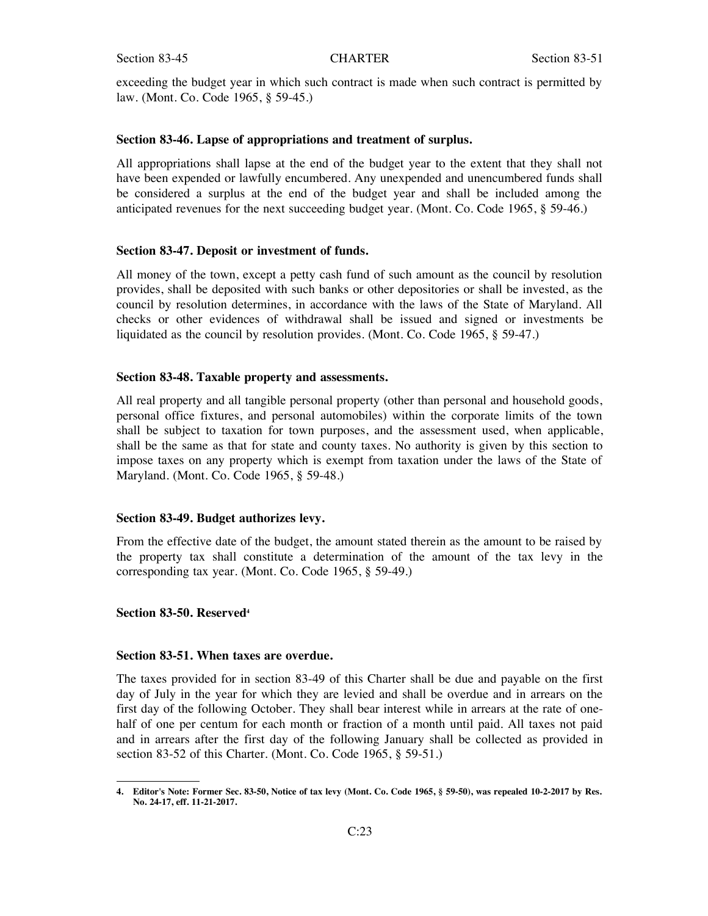exceeding the budget year in which such contract is made when such contract is permitted by law. (Mont. Co. Code 1965, § 59-45.)

### **Section 83-46. Lapse of appropriations and treatment of surplus.**

All appropriations shall lapse at the end of the budget year to the extent that they shall not have been expended or lawfully encumbered. Any unexpended and unencumbered funds shall be considered a surplus at the end of the budget year and shall be included among the anticipated revenues for the next succeeding budget year. (Mont. Co. Code 1965, § 59-46.)

#### **Section 83-47. Deposit or investment of funds.**

All money of the town, except a petty cash fund of such amount as the council by resolution provides, shall be deposited with such banks or other depositories or shall be invested, as the council by resolution determines, in accordance with the laws of the State of Maryland. All checks or other evidences of withdrawal shall be issued and signed or investments be liquidated as the council by resolution provides. (Mont. Co. Code 1965, § 59-47.)

#### **Section 83-48. Taxable property and assessments.**

All real property and all tangible personal property (other than personal and household goods, personal office fixtures, and personal automobiles) within the corporate limits of the town shall be subject to taxation for town purposes, and the assessment used, when applicable, shall be the same as that for state and county taxes. No authority is given by this section to impose taxes on any property which is exempt from taxation under the laws of the State of Maryland. (Mont. Co. Code 1965, § 59-48.)

#### **Section 83-49. Budget authorizes levy.**

From the effective date of the budget, the amount stated therein as the amount to be raised by the property tax shall constitute a determination of the amount of the tax levy in the corresponding tax year. (Mont. Co. Code 1965, § 59-49.)

#### **Section 83-50. Reserved4**

#### **Section 83-51. When taxes are overdue.**

The taxes provided for in section 83-49 of this Charter shall be due and payable on the first day of July in the year for which they are levied and shall be overdue and in arrears on the first day of the following October. They shall bear interest while in arrears at the rate of onehalf of one per centum for each month or fraction of a month until paid. All taxes not paid and in arrears after the first day of the following January shall be collected as provided in section 83-52 of this Charter. (Mont. Co. Code 1965, § 59-51.)

<sup>4.</sup> Editor's Note: Former Sec. 83-50, Notice of tax levy (Mont. Co. Code 1965, § 59-50), was repealed 10-2-2017 by Res. **No. 24-17, eff. 11-21-2017.**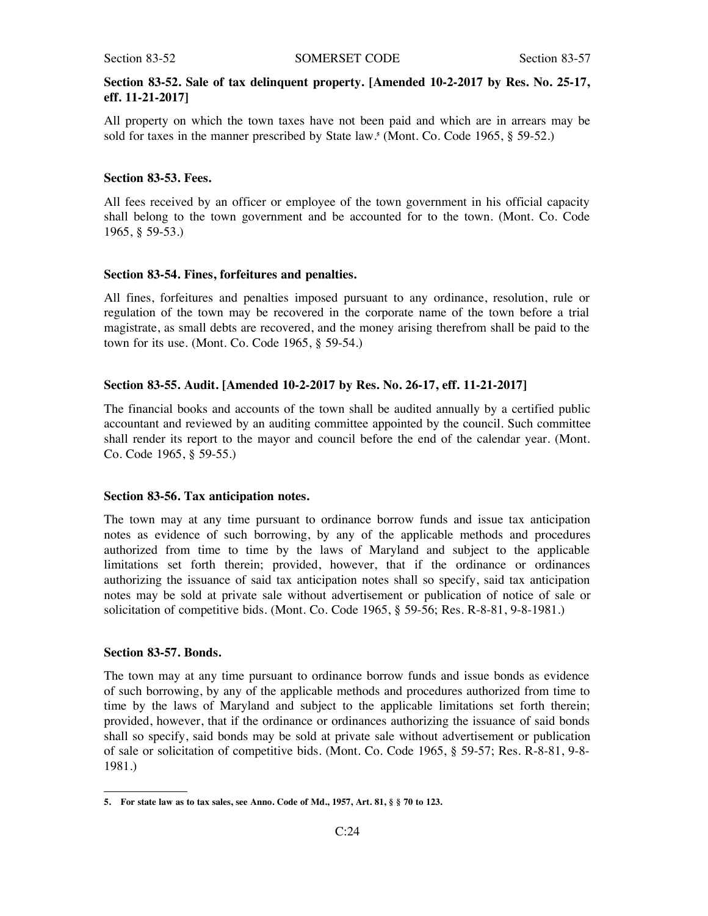# **Section 83-52. Sale of tax delinquent property. [Amended 10-2-2017 by Res. No. 25-17, eff. 11-21-2017]**

All property on which the town taxes have not been paid and which are in arrears may be sold for taxes in the manner prescribed by State law.**<sup>5</sup>** (Mont. Co. Code 1965, § 59-52.)

# **Section 83-53. Fees.**

All fees received by an officer or employee of the town government in his official capacity shall belong to the town government and be accounted for to the town. (Mont. Co. Code 1965, § 59-53.)

# **Section 83-54. Fines, forfeitures and penalties.**

All fines, forfeitures and penalties imposed pursuant to any ordinance, resolution, rule or regulation of the town may be recovered in the corporate name of the town before a trial magistrate, as small debts are recovered, and the money arising therefrom shall be paid to the town for its use. (Mont. Co. Code 1965, § 59-54.)

#### **Section 83-55. Audit. [Amended 10-2-2017 by Res. No. 26-17, eff. 11-21-2017]**

The financial books and accounts of the town shall be audited annually by a certified public accountant and reviewed by an auditing committee appointed by the council. Such committee shall render its report to the mayor and council before the end of the calendar year. (Mont. Co. Code 1965, § 59-55.)

# **Section 83-56. Tax anticipation notes.**

The town may at any time pursuant to ordinance borrow funds and issue tax anticipation notes as evidence of such borrowing, by any of the applicable methods and procedures authorized from time to time by the laws of Maryland and subject to the applicable limitations set forth therein; provided, however, that if the ordinance or ordinances authorizing the issuance of said tax anticipation notes shall so specify, said tax anticipation notes may be sold at private sale without advertisement or publication of notice of sale or solicitation of competitive bids. (Mont. Co. Code 1965, § 59-56; Res. R-8-81, 9-8-1981.)

#### **Section 83-57. Bonds.**

The town may at any time pursuant to ordinance borrow funds and issue bonds as evidence of such borrowing, by any of the applicable methods and procedures authorized from time to time by the laws of Maryland and subject to the applicable limitations set forth therein; provided, however, that if the ordinance or ordinances authorizing the issuance of said bonds shall so specify, said bonds may be sold at private sale without advertisement or publication of sale or solicitation of competitive bids. (Mont. Co. Code 1965, § 59-57; Res. R-8-81, 9-8- 1981.)

<sup>5.</sup> For state law as to tax sales, see Anno. Code of Md., 1957, Art. 81, § § 70 to 123.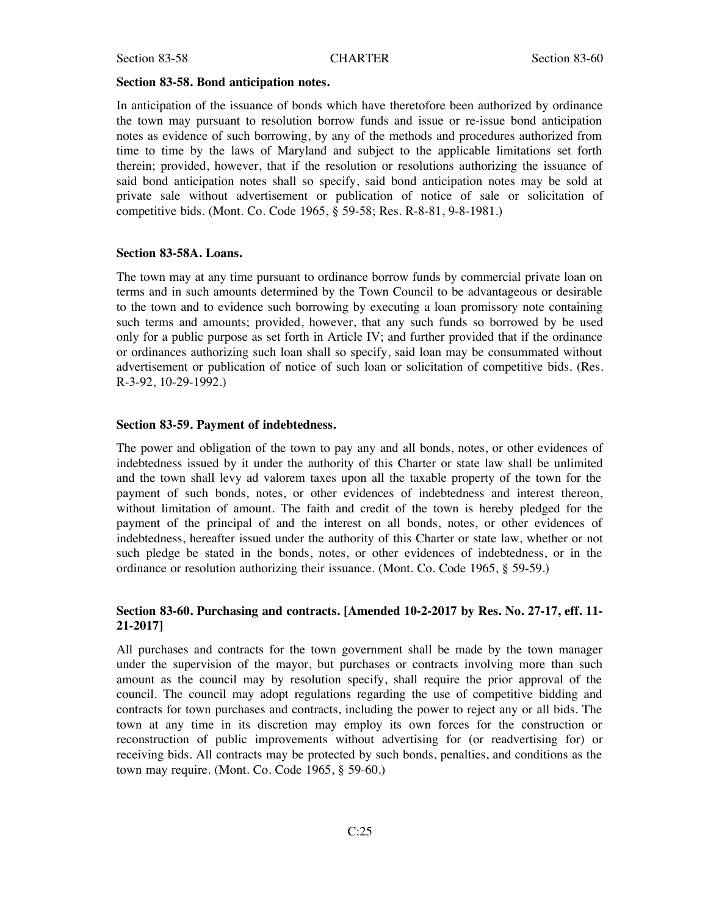#### **Section 83-58. Bond anticipation notes.**

In anticipation of the issuance of bonds which have theretofore been authorized by ordinance the town may pursuant to resolution borrow funds and issue or re-issue bond anticipation notes as evidence of such borrowing, by any of the methods and procedures authorized from time to time by the laws of Maryland and subject to the applicable limitations set forth therein; provided, however, that if the resolution or resolutions authorizing the issuance of said bond anticipation notes shall so specify, said bond anticipation notes may be sold at private sale without advertisement or publication of notice of sale or solicitation of competitive bids. (Mont. Co. Code 1965, § 59-58; Res. R-8-81, 9-8-1981.)

#### **Section 83-58A. Loans.**

The town may at any time pursuant to ordinance borrow funds by commercial private loan on terms and in such amounts determined by the Town Council to be advantageous or desirable to the town and to evidence such borrowing by executing a loan promissory note containing such terms and amounts; provided, however, that any such funds so borrowed by be used only for a public purpose as set forth in Article IV; and further provided that if the ordinance or ordinances authorizing such loan shall so specify, said loan may be consummated without advertisement or publication of notice of such loan or solicitation of competitive bids. (Res. R-3-92, 10-29-1992.)

# **Section 83-59. Payment of indebtedness.**

The power and obligation of the town to pay any and all bonds, notes, or other evidences of indebtedness issued by it under the authority of this Charter or state law shall be unlimited and the town shall levy ad valorem taxes upon all the taxable property of the town for the payment of such bonds, notes, or other evidences of indebtedness and interest thereon, without limitation of amount. The faith and credit of the town is hereby pledged for the payment of the principal of and the interest on all bonds, notes, or other evidences of indebtedness, hereafter issued under the authority of this Charter or state law, whether or not such pledge be stated in the bonds, notes, or other evidences of indebtedness, or in the ordinance or resolution authorizing their issuance. (Mont. Co. Code 1965, § 59-59.)

# **Section 83-60. Purchasing and contracts. [Amended 10-2-2017 by Res. No. 27-17, eff. 11- 21-2017]**

All purchases and contracts for the town government shall be made by the town manager under the supervision of the mayor, but purchases or contracts involving more than such amount as the council may by resolution specify, shall require the prior approval of the council. The council may adopt regulations regarding the use of competitive bidding and contracts for town purchases and contracts, including the power to reject any or all bids. The town at any time in its discretion may employ its own forces for the construction or reconstruction of public improvements without advertising for (or readvertising for) or receiving bids. All contracts may be protected by such bonds, penalties, and conditions as the town may require. (Mont. Co. Code 1965, § 59-60.)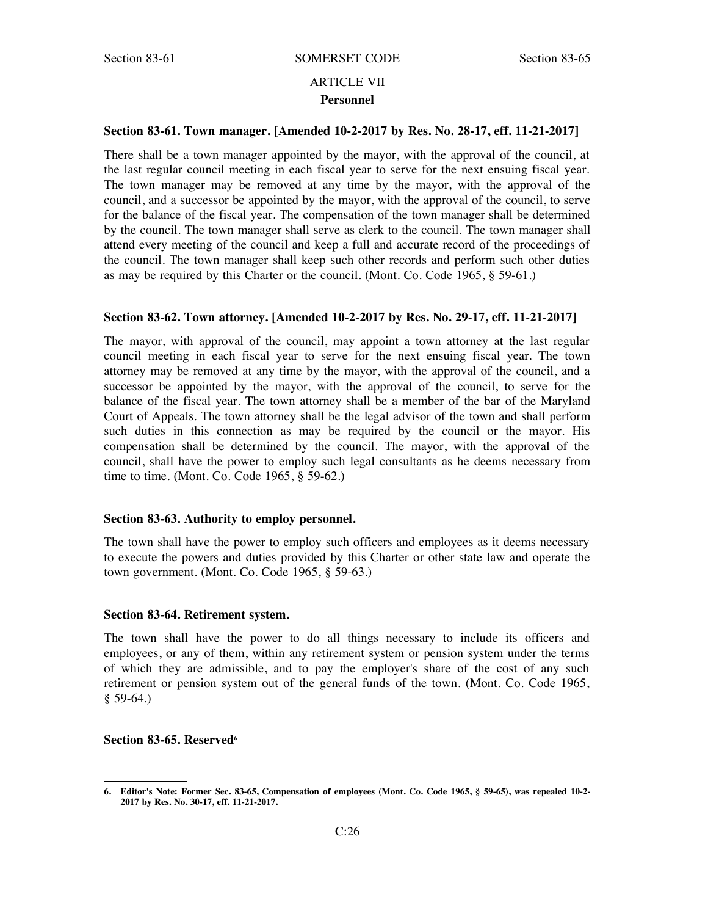# ARTICLE VII **Personnel**

# **Section 83-61. Town manager. [Amended 10-2-2017 by Res. No. 28-17, eff. 11-21-2017]**

There shall be a town manager appointed by the mayor, with the approval of the council, at the last regular council meeting in each fiscal year to serve for the next ensuing fiscal year. The town manager may be removed at any time by the mayor, with the approval of the council, and a successor be appointed by the mayor, with the approval of the council, to serve for the balance of the fiscal year. The compensation of the town manager shall be determined by the council. The town manager shall serve as clerk to the council. The town manager shall attend every meeting of the council and keep a full and accurate record of the proceedings of the council. The town manager shall keep such other records and perform such other duties as may be required by this Charter or the council. (Mont. Co. Code 1965, § 59-61.)

### **Section 83-62. Town attorney. [Amended 10-2-2017 by Res. No. 29-17, eff. 11-21-2017]**

The mayor, with approval of the council, may appoint a town attorney at the last regular council meeting in each fiscal year to serve for the next ensuing fiscal year. The town attorney may be removed at any time by the mayor, with the approval of the council, and a successor be appointed by the mayor, with the approval of the council, to serve for the balance of the fiscal year. The town attorney shall be a member of the bar of the Maryland Court of Appeals. The town attorney shall be the legal advisor of the town and shall perform such duties in this connection as may be required by the council or the mayor. His compensation shall be determined by the council. The mayor, with the approval of the council, shall have the power to employ such legal consultants as he deems necessary from time to time. (Mont. Co. Code 1965, § 59-62.)

#### **Section 83-63. Authority to employ personnel.**

The town shall have the power to employ such officers and employees as it deems necessary to execute the powers and duties provided by this Charter or other state law and operate the town government. (Mont. Co. Code 1965, § 59-63.)

#### **Section 83-64. Retirement system.**

The town shall have the power to do all things necessary to include its officers and employees, or any of them, within any retirement system or pension system under the terms of which they are admissible, and to pay the employer's share of the cost of any such retirement or pension system out of the general funds of the town. (Mont. Co. Code 1965,  $$59-64.$ 

### **Section 83-65. Reserved**<sup>6</sup>

<sup>6.</sup> Editor's Note: Former Sec. 83-65, Compensation of employees (Mont. Co. Code 1965, § 59-65), was repealed 10-2-**2017 by Res. No. 30-17, eff. 11-21-2017.**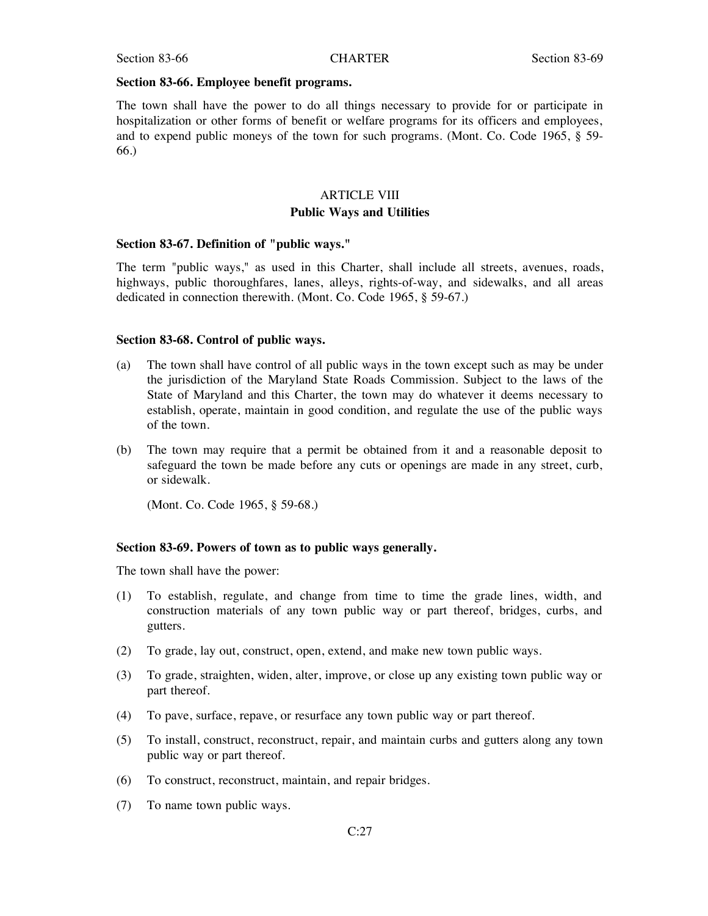#### **Section 83-66. Employee benefit programs.**

The town shall have the power to do all things necessary to provide for or participate in hospitalization or other forms of benefit or welfare programs for its officers and employees, and to expend public moneys of the town for such programs. (Mont. Co. Code 1965, § 59- 66.)

# ARTICLE VIII **Public Ways and Utilities**

#### **Section 83-67. Definition of "public ways."**

The term "public ways," as used in this Charter, shall include all streets, avenues, roads, highways, public thoroughfares, lanes, alleys, rights-of-way, and sidewalks, and all areas dedicated in connection therewith. (Mont. Co. Code 1965, § 59-67.)

#### **Section 83-68. Control of public ways.**

- (a) The town shall have control of all public ways in the town except such as may be under the jurisdiction of the Maryland State Roads Commission. Subject to the laws of the State of Maryland and this Charter, the town may do whatever it deems necessary to establish, operate, maintain in good condition, and regulate the use of the public ways of the town.
- (b) The town may require that a permit be obtained from it and a reasonable deposit to safeguard the town be made before any cuts or openings are made in any street, curb, or sidewalk.

(Mont. Co. Code 1965, § 59-68.)

#### **Section 83-69. Powers of town as to public ways generally.**

The town shall have the power:

- (1) To establish, regulate, and change from time to time the grade lines, width, and construction materials of any town public way or part thereof, bridges, curbs, and gutters.
- (2) To grade, lay out, construct, open, extend, and make new town public ways.
- (3) To grade, straighten, widen, alter, improve, or close up any existing town public way or part thereof.
- (4) To pave, surface, repave, or resurface any town public way or part thereof.
- (5) To install, construct, reconstruct, repair, and maintain curbs and gutters along any town public way or part thereof.
- (6) To construct, reconstruct, maintain, and repair bridges.
- (7) To name town public ways.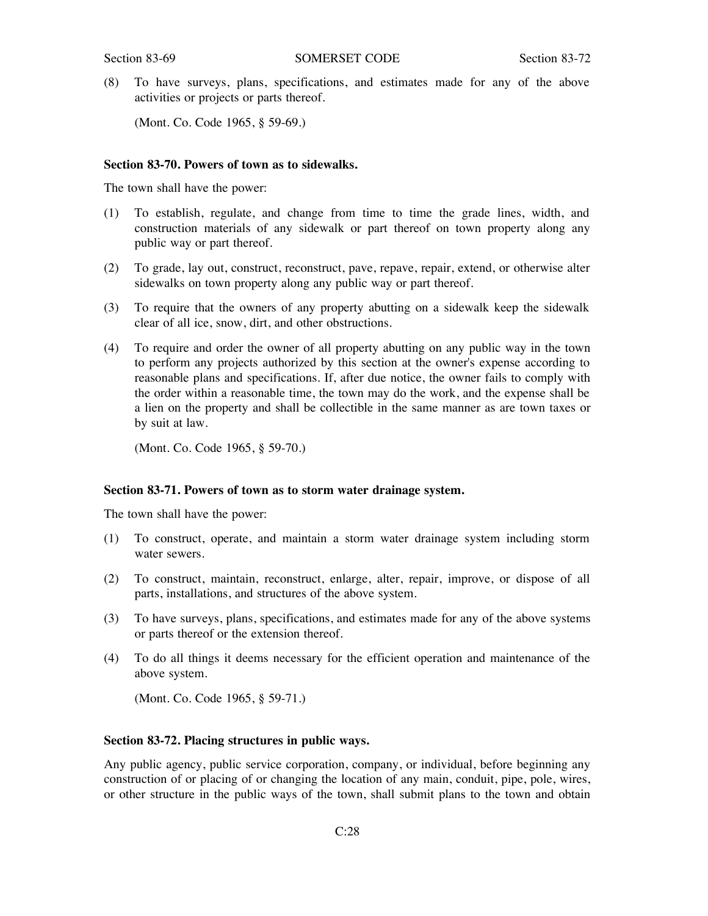(8) To have surveys, plans, specifications, and estimates made for any of the above activities or projects or parts thereof.

(Mont. Co. Code 1965, § 59-69.)

# **Section 83-70. Powers of town as to sidewalks.**

The town shall have the power:

- (1) To establish, regulate, and change from time to time the grade lines, width, and construction materials of any sidewalk or part thereof on town property along any public way or part thereof.
- (2) To grade, lay out, construct, reconstruct, pave, repave, repair, extend, or otherwise alter sidewalks on town property along any public way or part thereof.
- (3) To require that the owners of any property abutting on a sidewalk keep the sidewalk clear of all ice, snow, dirt, and other obstructions.
- (4) To require and order the owner of all property abutting on any public way in the town to perform any projects authorized by this section at the owner's expense according to reasonable plans and specifications. If, after due notice, the owner fails to comply with the order within a reasonable time, the town may do the work, and the expense shall be a lien on the property and shall be collectible in the same manner as are town taxes or by suit at law.

(Mont. Co. Code 1965, § 59-70.)

#### **Section 83-71. Powers of town as to storm water drainage system.**

The town shall have the power:

- (1) To construct, operate, and maintain a storm water drainage system including storm water sewers.
- (2) To construct, maintain, reconstruct, enlarge, alter, repair, improve, or dispose of all parts, installations, and structures of the above system.
- (3) To have surveys, plans, specifications, and estimates made for any of the above systems or parts thereof or the extension thereof.
- (4) To do all things it deems necessary for the efficient operation and maintenance of the above system.

(Mont. Co. Code 1965, § 59-71.)

# **Section 83-72. Placing structures in public ways.**

Any public agency, public service corporation, company, or individual, before beginning any construction of or placing of or changing the location of any main, conduit, pipe, pole, wires, or other structure in the public ways of the town, shall submit plans to the town and obtain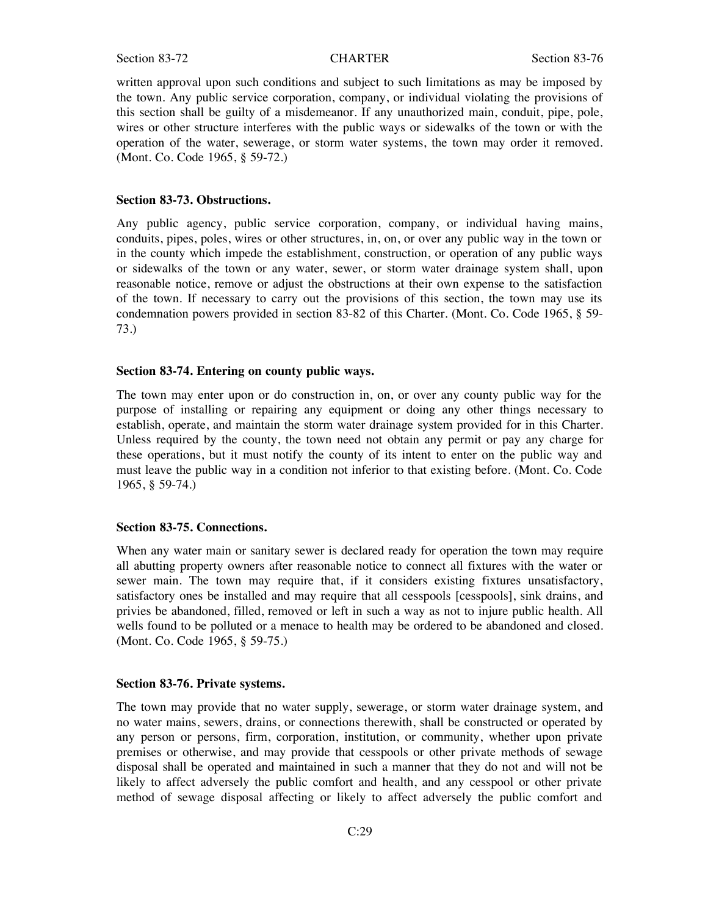written approval upon such conditions and subject to such limitations as may be imposed by the town. Any public service corporation, company, or individual violating the provisions of this section shall be guilty of a misdemeanor. If any unauthorized main, conduit, pipe, pole, wires or other structure interferes with the public ways or sidewalks of the town or with the operation of the water, sewerage, or storm water systems, the town may order it removed. (Mont. Co. Code 1965, § 59-72.)

#### **Section 83-73. Obstructions.**

Any public agency, public service corporation, company, or individual having mains, conduits, pipes, poles, wires or other structures, in, on, or over any public way in the town or in the county which impede the establishment, construction, or operation of any public ways or sidewalks of the town or any water, sewer, or storm water drainage system shall, upon reasonable notice, remove or adjust the obstructions at their own expense to the satisfaction of the town. If necessary to carry out the provisions of this section, the town may use its condemnation powers provided in section 83-82 of this Charter. (Mont. Co. Code 1965, § 59- 73.)

#### **Section 83-74. Entering on county public ways.**

The town may enter upon or do construction in, on, or over any county public way for the purpose of installing or repairing any equipment or doing any other things necessary to establish, operate, and maintain the storm water drainage system provided for in this Charter. Unless required by the county, the town need not obtain any permit or pay any charge for these operations, but it must notify the county of its intent to enter on the public way and must leave the public way in a condition not inferior to that existing before. (Mont. Co. Code 1965, § 59-74.)

### **Section 83-75. Connections.**

When any water main or sanitary sewer is declared ready for operation the town may require all abutting property owners after reasonable notice to connect all fixtures with the water or sewer main. The town may require that, if it considers existing fixtures unsatisfactory, satisfactory ones be installed and may require that all cesspools [cesspools], sink drains, and privies be abandoned, filled, removed or left in such a way as not to injure public health. All wells found to be polluted or a menace to health may be ordered to be abandoned and closed. (Mont. Co. Code 1965, § 59-75.)

#### **Section 83-76. Private systems.**

The town may provide that no water supply, sewerage, or storm water drainage system, and no water mains, sewers, drains, or connections therewith, shall be constructed or operated by any person or persons, firm, corporation, institution, or community, whether upon private premises or otherwise, and may provide that cesspools or other private methods of sewage disposal shall be operated and maintained in such a manner that they do not and will not be likely to affect adversely the public comfort and health, and any cesspool or other private method of sewage disposal affecting or likely to affect adversely the public comfort and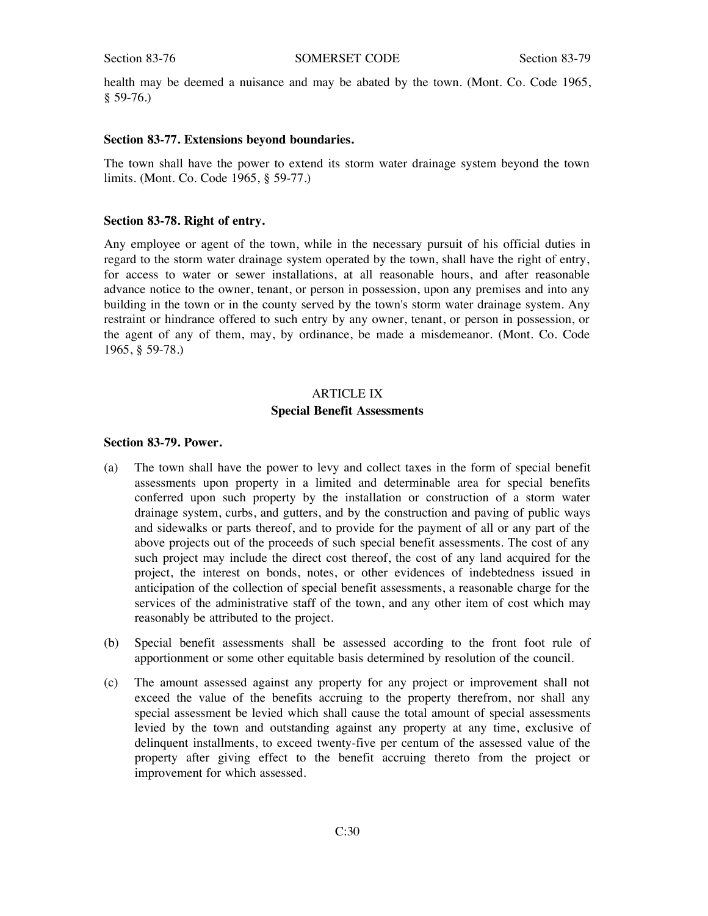health may be deemed a nuisance and may be abated by the town. (Mont. Co. Code 1965,  $$59-76.$ 

#### **Section 83-77. Extensions beyond boundaries.**

The town shall have the power to extend its storm water drainage system beyond the town limits. (Mont. Co. Code 1965, § 59-77.)

#### **Section 83-78. Right of entry.**

Any employee or agent of the town, while in the necessary pursuit of his official duties in regard to the storm water drainage system operated by the town, shall have the right of entry, for access to water or sewer installations, at all reasonable hours, and after reasonable advance notice to the owner, tenant, or person in possession, upon any premises and into any building in the town or in the county served by the town's storm water drainage system. Any restraint or hindrance offered to such entry by any owner, tenant, or person in possession, or the agent of any of them, may, by ordinance, be made a misdemeanor. (Mont. Co. Code 1965, § 59-78.)

# ARTICLE IX **Special Benefit Assessments**

#### **Section 83-79. Power.**

- (a) The town shall have the power to levy and collect taxes in the form of special benefit assessments upon property in a limited and determinable area for special benefits conferred upon such property by the installation or construction of a storm water drainage system, curbs, and gutters, and by the construction and paving of public ways and sidewalks or parts thereof, and to provide for the payment of all or any part of the above projects out of the proceeds of such special benefit assessments. The cost of any such project may include the direct cost thereof, the cost of any land acquired for the project, the interest on bonds, notes, or other evidences of indebtedness issued in anticipation of the collection of special benefit assessments, a reasonable charge for the services of the administrative staff of the town, and any other item of cost which may reasonably be attributed to the project.
- (b) Special benefit assessments shall be assessed according to the front foot rule of apportionment or some other equitable basis determined by resolution of the council.
- (c) The amount assessed against any property for any project or improvement shall not exceed the value of the benefits accruing to the property therefrom, nor shall any special assessment be levied which shall cause the total amount of special assessments levied by the town and outstanding against any property at any time, exclusive of delinquent installments, to exceed twenty-five per centum of the assessed value of the property after giving effect to the benefit accruing thereto from the project or improvement for which assessed.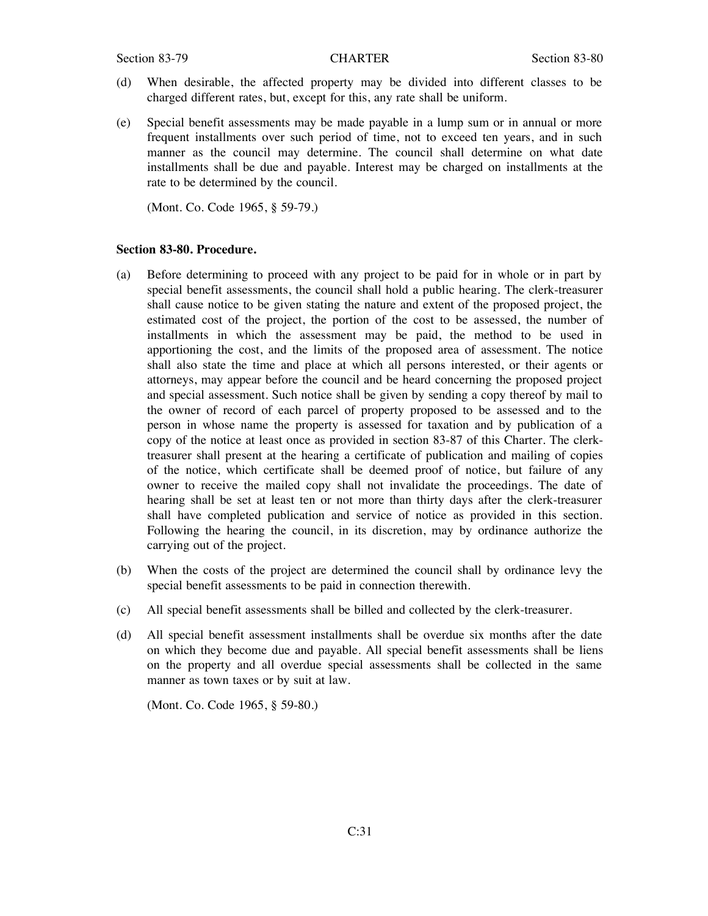- (d) When desirable, the affected property may be divided into different classes to be charged different rates, but, except for this, any rate shall be uniform.
- (e) Special benefit assessments may be made payable in a lump sum or in annual or more frequent installments over such period of time, not to exceed ten years, and in such manner as the council may determine. The council shall determine on what date installments shall be due and payable. Interest may be charged on installments at the rate to be determined by the council.

(Mont. Co. Code 1965, § 59-79.)

#### **Section 83-80. Procedure.**

- (a) Before determining to proceed with any project to be paid for in whole or in part by special benefit assessments, the council shall hold a public hearing. The clerk-treasurer shall cause notice to be given stating the nature and extent of the proposed project, the estimated cost of the project, the portion of the cost to be assessed, the number of installments in which the assessment may be paid, the method to be used in apportioning the cost, and the limits of the proposed area of assessment. The notice shall also state the time and place at which all persons interested, or their agents or attorneys, may appear before the council and be heard concerning the proposed project and special assessment. Such notice shall be given by sending a copy thereof by mail to the owner of record of each parcel of property proposed to be assessed and to the person in whose name the property is assessed for taxation and by publication of a copy of the notice at least once as provided in section 83-87 of this Charter. The clerktreasurer shall present at the hearing a certificate of publication and mailing of copies of the notice, which certificate shall be deemed proof of notice, but failure of any owner to receive the mailed copy shall not invalidate the proceedings. The date of hearing shall be set at least ten or not more than thirty days after the clerk-treasurer shall have completed publication and service of notice as provided in this section. Following the hearing the council, in its discretion, may by ordinance authorize the carrying out of the project.
- (b) When the costs of the project are determined the council shall by ordinance levy the special benefit assessments to be paid in connection therewith.
- (c) All special benefit assessments shall be billed and collected by the clerk-treasurer.
- (d) All special benefit assessment installments shall be overdue six months after the date on which they become due and payable. All special benefit assessments shall be liens on the property and all overdue special assessments shall be collected in the same manner as town taxes or by suit at law.

(Mont. Co. Code 1965, § 59-80.)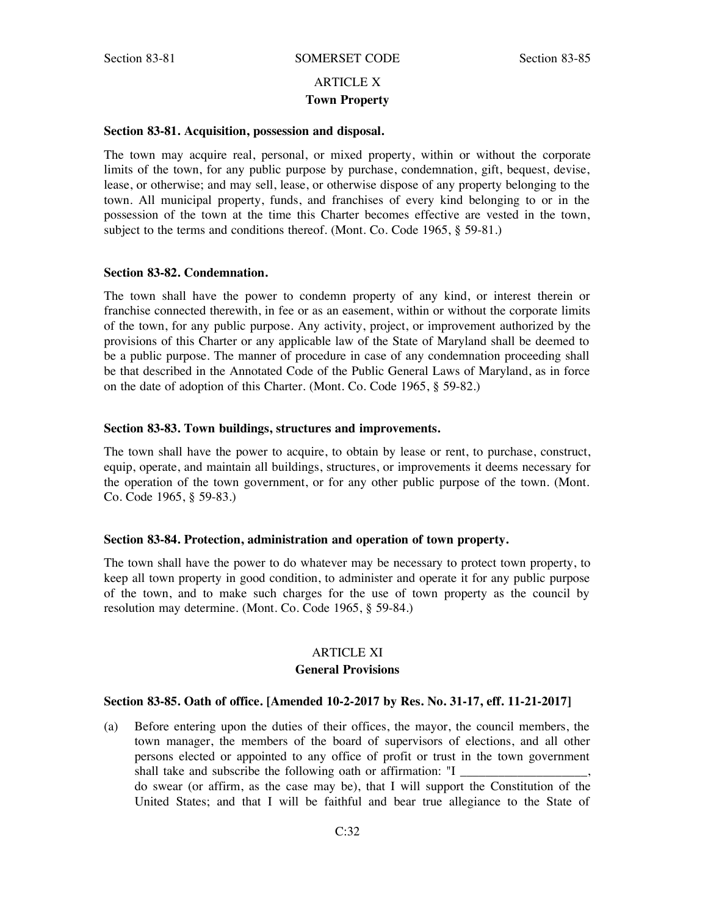# ARTICLE X **Town Property**

#### **Section 83-81. Acquisition, possession and disposal.**

The town may acquire real, personal, or mixed property, within or without the corporate limits of the town, for any public purpose by purchase, condemnation, gift, bequest, devise, lease, or otherwise; and may sell, lease, or otherwise dispose of any property belonging to the town. All municipal property, funds, and franchises of every kind belonging to or in the possession of the town at the time this Charter becomes effective are vested in the town, subject to the terms and conditions thereof. (Mont. Co. Code 1965, § 59-81.)

#### **Section 83-82. Condemnation.**

The town shall have the power to condemn property of any kind, or interest therein or franchise connected therewith, in fee or as an easement, within or without the corporate limits of the town, for any public purpose. Any activity, project, or improvement authorized by the provisions of this Charter or any applicable law of the State of Maryland shall be deemed to be a public purpose. The manner of procedure in case of any condemnation proceeding shall be that described in the Annotated Code of the Public General Laws of Maryland, as in force on the date of adoption of this Charter. (Mont. Co. Code 1965, § 59-82.)

#### **Section 83-83. Town buildings, structures and improvements.**

The town shall have the power to acquire, to obtain by lease or rent, to purchase, construct, equip, operate, and maintain all buildings, structures, or improvements it deems necessary for the operation of the town government, or for any other public purpose of the town. (Mont. Co. Code 1965, § 59-83.)

### **Section 83-84. Protection, administration and operation of town property.**

The town shall have the power to do whatever may be necessary to protect town property, to keep all town property in good condition, to administer and operate it for any public purpose of the town, and to make such charges for the use of town property as the council by resolution may determine. (Mont. Co. Code 1965, § 59-84.)

# ARTICLE XI **General Provisions**

#### **Section 83-85. Oath of office. [Amended 10-2-2017 by Res. No. 31-17, eff. 11-21-2017]**

(a) Before entering upon the duties of their offices, the mayor, the council members, the town manager, the members of the board of supervisors of elections, and all other persons elected or appointed to any office of profit or trust in the town government shall take and subscribe the following oath or affirmation: "I do swear (or affirm, as the case may be), that I will support the Constitution of the United States; and that I will be faithful and bear true allegiance to the State of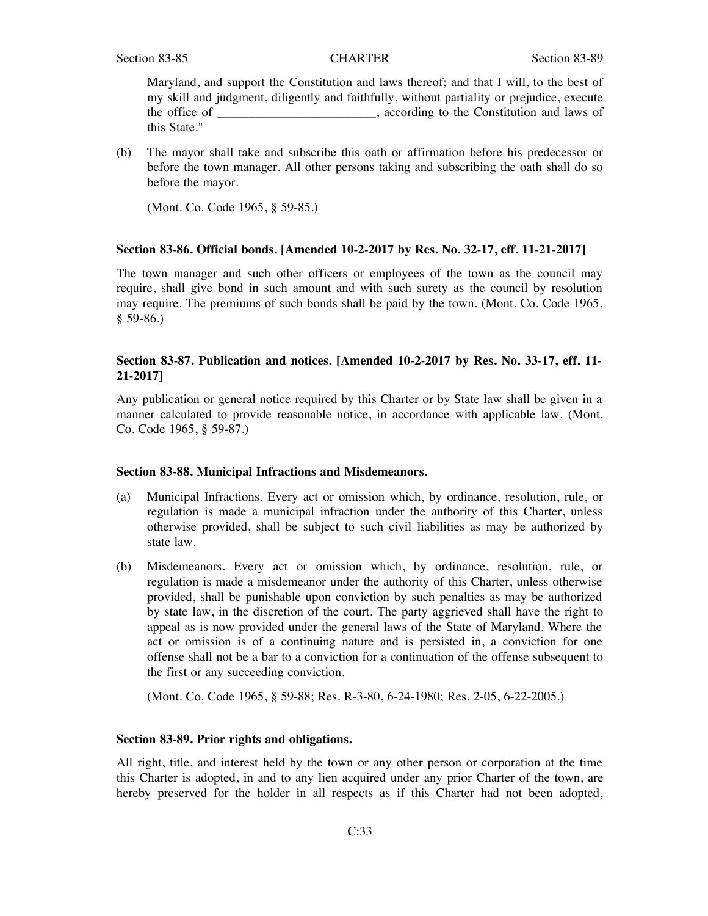Maryland, and support the Constitution and laws thereof; and that I will, to the best of my skill and judgment, diligently and faithfully, without partiality or prejudice, execute the office of \_\_\_\_\_\_\_\_\_\_\_\_\_\_\_\_, according to the Constitution and laws of this State."

(b) The mayor shall take and subscribe this oath or affirmation before his predecessor or before the town manager. All other persons taking and subscribing the oath shall do so before the mayor.

(Mont. Co. Code 1965, § 59-85.)

#### **Section 83-86. Official bonds. [Amended 10-2-2017 by Res. No. 32-17, eff. 11-21-2017]**

The town manager and such other officers or employees of the town as the council may require, shall give bond in such amount and with such surety as the council by resolution may require. The premiums of such bonds shall be paid by the town. (Mont. Co. Code 1965, § 59-86.)

# **Section 83-87. Publication and notices. [Amended 10-2-2017 by Res. No. 33-17, eff. 11- 21-2017]**

Any publication or general notice required by this Charter or by State law shall be given in a manner calculated to provide reasonable notice, in accordance with applicable law. (Mont. Co. Code 1965, § 59-87.)

#### **Section 83-88. Municipal Infractions and Misdemeanors.**

- (a) Municipal Infractions. Every act or omission which, by ordinance, resolution, rule, or regulation is made a municipal infraction under the authority of this Charter, unless otherwise provided, shall be subject to such civil liabilities as may be authorized by state law.
- (b) Misdemeanors. Every act or omission which, by ordinance, resolution, rule, or regulation is made a misdemeanor under the authority of this Charter, unless otherwise provided, shall be punishable upon conviction by such penalties as may be authorized by state law, in the discretion of the court. The party aggrieved shall have the right to appeal as is now provided under the general laws of the State of Maryland. Where the act or omission is of a continuing nature and is persisted in, a conviction for one offense shall not be a bar to a conviction for a continuation of the offense subsequent to the first or any succeeding conviction.

(Mont. Co. Code 1965, § 59-88; Res. R-3-80, 6-24-1980; Res. 2-05, 6-22-2005.)

### **Section 83-89. Prior rights and obligations.**

All right, title, and interest held by the town or any other person or corporation at the time this Charter is adopted, in and to any lien acquired under any prior Charter of the town, are hereby preserved for the holder in all respects as if this Charter had not been adopted,